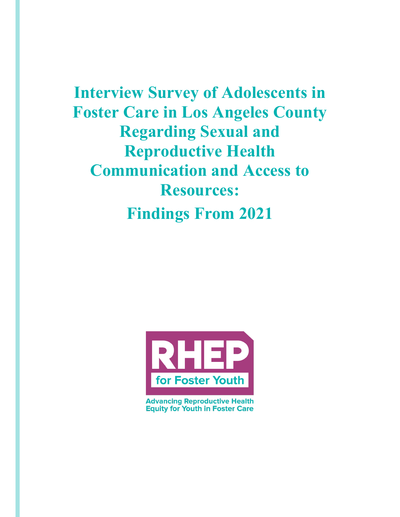**Interview Survey of Adolescents in Foster Care in Los Angeles County Regarding Sexual and Reproductive Health Communication and Access to Resources: Findings From 2021**



**Advancing Reproductive Health Equity for Youth in Foster Care**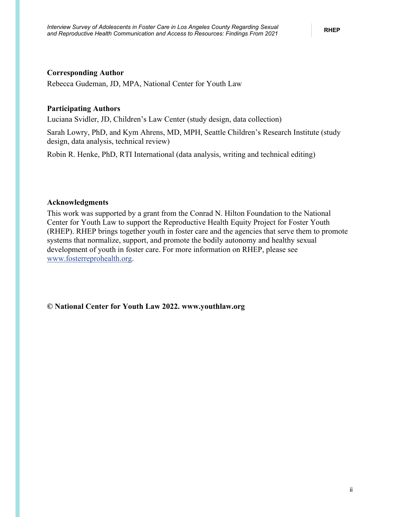### **Corresponding Author**

Rebecca Gudeman, JD, MPA, National Center for Youth Law

### **Participating Authors**

Luciana Svidler, JD, Children's Law Center (study design, data collection)

Sarah Lowry, PhD, and Kym Ahrens, MD, MPH, Seattle Children's Research Institute (study design, data analysis, technical review)

Robin R. Henke, PhD, RTI International (data analysis, writing and technical editing)

#### **Acknowledgments**

This work was supported by a grant from the Conrad N. Hilton Foundation to the National Center for Youth Law to support the Reproductive Health Equity Project for Foster Youth (RHEP). RHEP brings together youth in foster care and the agencies that serve them to promote systems that normalize, support, and promote the bodily autonomy and healthy sexual development of youth in foster care. For more information on RHEP, please see [www.fosterreprohealth.org.](https://fosterreprohealth.org/)

**© National Center for Youth Law 2022. [www.youthlaw.org](https://youthlaw.org/)**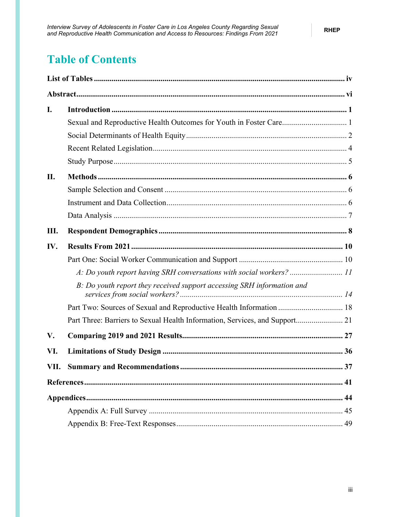# **Table of Contents**

| I.   |                                                                             |    |
|------|-----------------------------------------------------------------------------|----|
|      | Sexual and Reproductive Health Outcomes for Youth in Foster Care 1          |    |
|      |                                                                             |    |
|      |                                                                             |    |
|      |                                                                             |    |
| II.  |                                                                             |    |
|      |                                                                             |    |
|      |                                                                             |    |
|      |                                                                             |    |
| Ш.   |                                                                             |    |
| IV.  |                                                                             |    |
|      |                                                                             |    |
|      | A: Do youth report having SRH conversations with social workers?  11        |    |
|      | B: Do youth report they received support accessing SRH information and      |    |
|      | Part Two: Sources of Sexual and Reproductive Health Information  18         |    |
|      | Part Three: Barriers to Sexual Health Information, Services, and Support 21 |    |
| V.   |                                                                             |    |
| VI.  |                                                                             |    |
| VII. |                                                                             | 37 |
|      |                                                                             |    |
|      |                                                                             |    |
|      |                                                                             |    |
|      |                                                                             |    |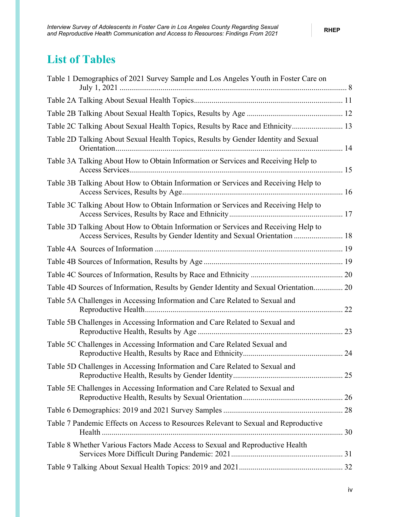## <span id="page-3-0"></span>**List of Tables**

| Table 1 Demographics of 2021 Survey Sample and Los Angeles Youth in Foster Care on                                                                           |  |
|--------------------------------------------------------------------------------------------------------------------------------------------------------------|--|
|                                                                                                                                                              |  |
|                                                                                                                                                              |  |
| Table 2C Talking About Sexual Health Topics, Results by Race and Ethnicity 13                                                                                |  |
| Table 2D Talking About Sexual Health Topics, Results by Gender Identity and Sexual                                                                           |  |
| Table 3A Talking About How to Obtain Information or Services and Receiving Help to                                                                           |  |
| Table 3B Talking About How to Obtain Information or Services and Receiving Help to                                                                           |  |
| Table 3C Talking About How to Obtain Information or Services and Receiving Help to                                                                           |  |
| Table 3D Talking About How to Obtain Information or Services and Receiving Help to<br>Access Services, Results by Gender Identity and Sexual Orientation  18 |  |
|                                                                                                                                                              |  |
|                                                                                                                                                              |  |
|                                                                                                                                                              |  |
| Table 4D Sources of Information, Results by Gender Identity and Sexual Orientation 20                                                                        |  |
| Table 5A Challenges in Accessing Information and Care Related to Sexual and                                                                                  |  |
| Table 5B Challenges in Accessing Information and Care Related to Sexual and                                                                                  |  |
| Table 5C Challenges in Accessing Information and Care Related Sexual and                                                                                     |  |
| Table 5D Challenges in Accessing Information and Care Related to Sexual and                                                                                  |  |
| Table 5E Challenges in Accessing Information and Care Related to Sexual and                                                                                  |  |
|                                                                                                                                                              |  |
| Table 7 Pandemic Effects on Access to Resources Relevant to Sexual and Reproductive                                                                          |  |
| Table 8 Whether Various Factors Made Access to Sexual and Reproductive Health                                                                                |  |
|                                                                                                                                                              |  |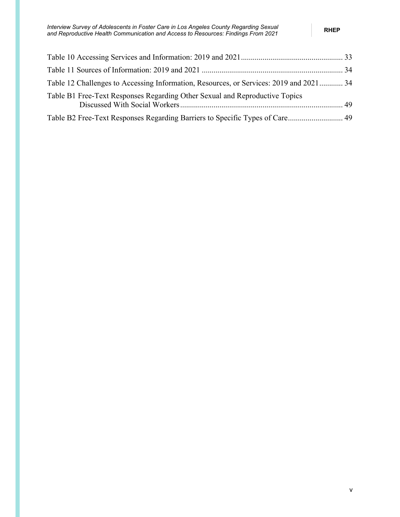| Table 12 Challenges to Accessing Information, Resources, or Services: 2019 and 2021 34 |  |
|----------------------------------------------------------------------------------------|--|
| Table B1 Free-Text Responses Regarding Other Sexual and Reproductive Topics            |  |
| Table B2 Free-Text Responses Regarding Barriers to Specific Types of Care 49           |  |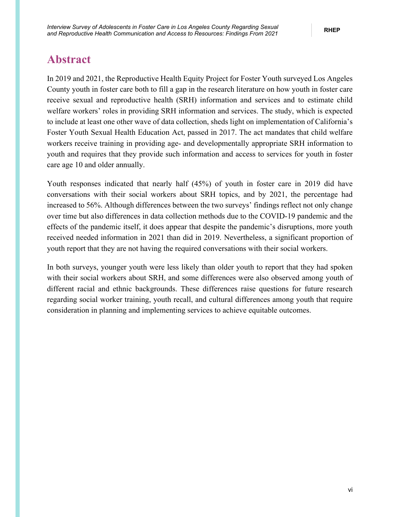## <span id="page-5-0"></span>**Abstract**

In 2019 and 2021, the Reproductive Health Equity Project for Foster Youth surveyed Los Angeles County youth in foster care both to fill a gap in the research literature on how youth in foster care receive sexual and reproductive health (SRH) information and services and to estimate child welfare workers' roles in providing SRH information and services. The study, which is expected to include at least one other wave of data collection, sheds light on implementation of California's Foster Youth Sexual Health Education Act, passed in 2017. The act mandates that child welfare workers receive training in providing age- and developmentally appropriate SRH information to youth and requires that they provide such information and access to services for youth in foster care age 10 and older annually.

Youth responses indicated that nearly half (45%) of youth in foster care in 2019 did have conversations with their social workers about SRH topics, and by 2021, the percentage had increased to 56%. Although differences between the two surveys' findings reflect not only change over time but also differences in data collection methods due to the COVID-19 pandemic and the effects of the pandemic itself, it does appear that despite the pandemic's disruptions, more youth received needed information in 2021 than did in 2019. Nevertheless, a significant proportion of youth report that they are not having the required conversations with their social workers.

In both surveys, younger youth were less likely than older youth to report that they had spoken with their social workers about SRH, and some differences were also observed among youth of different racial and ethnic backgrounds. These differences raise questions for future research regarding social worker training, youth recall, and cultural differences among youth that require consideration in planning and implementing services to achieve equitable outcomes.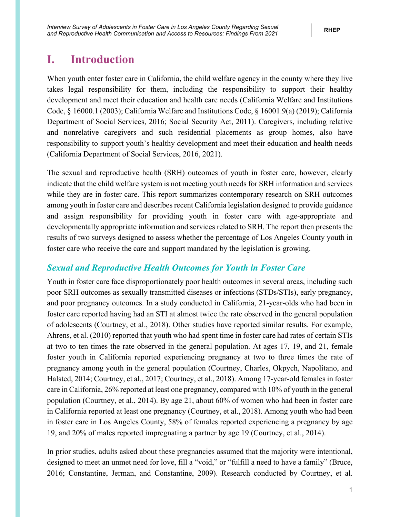## <span id="page-6-0"></span>**I. Introduction**

When youth enter foster care in California, the child welfare agency in the county where they live takes legal responsibility for them, including the responsibility to support their healthy development and meet their education and health care needs (California Welfare and Institutions Code, § 16000.1 (2003); California Welfare and Institutions Code, § 16001.9(a) (2019); California Department of Social Services, 2016; Social Security Act, 2011). Caregivers, including relative and nonrelative caregivers and such residential placements as group homes, also have responsibility to support youth's healthy development and meet their education and health needs (California Department of Social Services, 2016, 2021).

The sexual and reproductive health (SRH) outcomes of youth in foster care, however, clearly indicate that the child welfare system is not meeting youth needs for SRH information and services while they are in foster care. This report summarizes contemporary research on SRH outcomes among youth in foster care and describes recent California legislation designed to provide guidance and assign responsibility for providing youth in foster care with age-appropriate and developmentally appropriate information and services related to SRH. The report then presents the results of two surveys designed to assess whether the percentage of Los Angeles County youth in foster care who receive the care and support mandated by the legislation is growing.

### <span id="page-6-1"></span>*Sexual and Reproductive Health Outcomes for Youth in Foster Care*

Youth in foster care face disproportionately poor health outcomes in several areas, including such poor SRH outcomes as sexually transmitted diseases or infections (STDs/STIs), early pregnancy, and poor pregnancy outcomes. In a study conducted in California, 21-year-olds who had been in foster care reported having had an STI at almost twice the rate observed in the general population of adolescents (Courtney, et al., 2018). Other studies have reported similar results. For example, Ahrens, et al. (2010) reported that youth who had spent time in foster care had rates of certain STIs at two to ten times the rate observed in the general population. At ages 17, 19, and 21, female foster youth in California reported experiencing pregnancy at two to three times the rate of pregnancy among youth in the general population (Courtney, Charles, Okpych, Napolitano, and Halsted, 2014; Courtney, et al., 2017; Courtney, et al., 2018). Among 17-year-old females in foster care in California, 26% reported at least one pregnancy, compared with 10% of youth in the general population (Courtney, et al., 2014). By age 21, about 60% of women who had been in foster care in California reported at least one pregnancy (Courtney, et al., 2018). Among youth who had been in foster care in Los Angeles County, 58% of females reported experiencing a pregnancy by age 19, and 20% of males reported impregnating a partner by age 19 (Courtney, et al., 2014).

In prior studies, adults asked about these pregnancies assumed that the majority were intentional, designed to meet an unmet need for love, fill a "void," or "fulfill a need to have a family" (Bruce, 2016; Constantine, Jerman, and Constantine, 2009). Research conducted by Courtney, et al.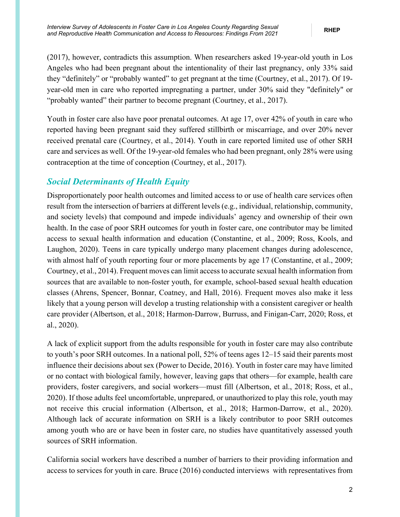(2017), however, contradicts this assumption. When researchers asked 19-year-old youth in Los Angeles who had been pregnant about the intentionality of their last pregnancy, only 33% said they "definitely" or "probably wanted" to get pregnant at the time (Courtney, et al., 2017). Of 19 year-old men in care who reported impregnating a partner, under 30% said they "definitely" or "probably wanted" their partner to become pregnant (Courtney, et al., 2017).

Youth in foster care also have poor prenatal outcomes. At age 17, over 42% of youth in care who reported having been pregnant said they suffered stillbirth or miscarriage, and over 20% never received prenatal care (Courtney, et al., 2014). Youth in care reported limited use of other SRH care and services as well. Of the 19-year-old females who had been pregnant, only 28% were using contraception at the time of conception (Courtney, et al., 2017).

### <span id="page-7-0"></span>*Social Determinants of Health Equity*

Disproportionately poor health outcomes and limited access to or use of health care services often result from the intersection of barriers at different levels (e.g., individual, relationship, community, and society levels) that compound and impede individuals' agency and ownership of their own health. In the case of poor SRH outcomes for youth in foster care, one contributor may be limited access to sexual health information and education (Constantine, et al., 2009; Ross, Kools, and Laughon, 2020). Teens in care typically undergo many placement changes during adolescence, with almost half of youth reporting four or more placements by age 17 (Constantine, et al., 2009; Courtney, et al., 2014). Frequent moves can limit access to accurate sexual health information from sources that are available to non-foster youth, for example, school-based sexual health education classes (Ahrens, Spencer, Bonnar, Coatney, and Hall, 2016). Frequent moves also make it less likely that a young person will develop a trusting relationship with a consistent caregiver or health care provider (Albertson, et al., 2018; Harmon-Darrow, Burruss, and Finigan-Carr, 2020; Ross, et al., 2020).

A lack of explicit support from the adults responsible for youth in foster care may also contribute to youth's poor SRH outcomes. In a national poll, 52% of teens ages 12–15 said their parents most influence their decisions about sex (Power to Decide, 2016). Youth in foster care may have limited or no contact with biological family, however, leaving gaps that others—for example, health care providers, foster caregivers, and social workers—must fill (Albertson, et al., 2018; Ross, et al., 2020). If those adults feel uncomfortable, unprepared, or unauthorized to play this role, youth may not receive this crucial information (Albertson, et al., 2018; Harmon-Darrow, et al., 2020). Although lack of accurate information on SRH is a likely contributor to poor SRH outcomes among youth who are or have been in foster care, no studies have quantitatively assessed youth sources of SRH information.

California social workers have described a number of barriers to their providing information and access to services for youth in care. Bruce (2016) conducted interviews with representatives from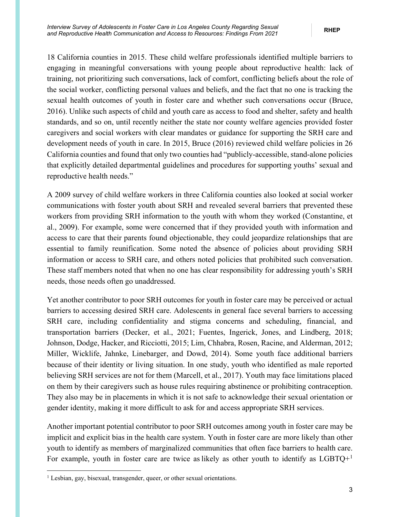18 California counties in 2015. These child welfare professionals identified multiple barriers to engaging in meaningful conversations with young people about reproductive health: lack of training, not prioritizing such conversations, lack of comfort, conflicting beliefs about the role of the social worker, conflicting personal values and beliefs, and the fact that no one is tracking the sexual health outcomes of youth in foster care and whether such conversations occur (Bruce, 2016). Unlike such aspects of child and youth care as access to food and shelter, safety and health standards, and so on, until recently neither the state nor county welfare agencies provided foster caregivers and social workers with clear mandates or guidance for supporting the SRH care and development needs of youth in care. In 2015, Bruce (2016) reviewed child welfare policies in 26 California counties and found that only two counties had "publicly-accessible, stand-alone policies that explicitly detailed departmental guidelines and procedures for supporting youths' sexual and reproductive health needs."

A 2009 survey of child welfare workers in three California counties also looked at social worker communications with foster youth about SRH and revealed several barriers that prevented these workers from providing SRH information to the youth with whom they worked (Constantine, et al., 2009). For example, some were concerned that if they provided youth with information and access to care that their parents found objectionable, they could jeopardize relationships that are essential to family reunification. Some noted the absence of policies about providing SRH information or access to SRH care, and others noted policies that prohibited such conversation. These staff members noted that when no one has clear responsibility for addressing youth's SRH needs, those needs often go unaddressed.

Yet another contributor to poor SRH outcomes for youth in foster care may be perceived or actual barriers to accessing desired SRH care. Adolescents in general face several barriers to accessing SRH care, including confidentiality and stigma concerns and scheduling, financial, and transportation barriers (Decker, et al., 2021; Fuentes, Ingerick, Jones, and Lindberg, 2018; Johnson, Dodge, Hacker, and Ricciotti, 2015; Lim, Chhabra, Rosen, Racine, and Alderman, 2012; Miller, Wicklife, Jahnke, Linebarger, and Dowd, 2014). Some youth face additional barriers because of their identity or living situation. In one study, youth who identified as male reported believing SRH services are not for them (Marcell, et al., 2017). Youth may face limitations placed on them by their caregivers such as house rules requiring abstinence or prohibiting contraception. They also may be in placements in which it is not safe to acknowledge their sexual orientation or gender identity, making it more difficult to ask for and access appropriate SRH services.

Another important potential contributor to poor SRH outcomes among youth in foster care may be implicit and explicit bias in the health care system. Youth in foster care are more likely than other youth to identify as members of marginalized communities that often face barriers to health care. For example, youth in foster care are twice as likely as other youth to identify as  $LGBTQ+<sup>1</sup>$  $LGBTQ+<sup>1</sup>$  $LGBTQ+<sup>1</sup>$ 

<span id="page-8-0"></span><sup>&</sup>lt;sup>1</sup> Lesbian, gay, bisexual, transgender, queer, or other sexual orientations.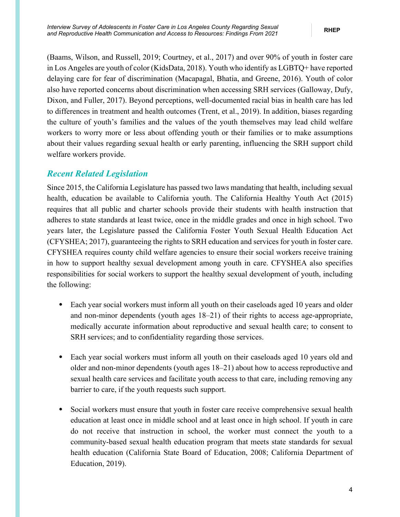(Baams, Wilson, and Russell, 2019; Courtney, et al., 2017) and over 90% of youth in foster care in Los Angeles are youth of color (KidsData, 2018). Youth who identify as LGBTQ+ have reported delaying care for fear of discrimination (Macapagal, Bhatia, and Greene, 2016). Youth of color also have reported concerns about discrimination when accessing SRH services (Galloway, Dufy, Dixon, and Fuller, 2017). Beyond perceptions, well-documented racial bias in health care has led to differences in treatment and health outcomes (Trent, et al., 2019). In addition, biases regarding the culture of youth's families and the values of the youth themselves may lead child welfare workers to worry more or less about offending youth or their families or to make assumptions about their values regarding sexual health or early parenting, influencing the SRH support child welfare workers provide.

### <span id="page-9-0"></span>*Recent Related Legislation*

Since 2015, the California Legislature has passed two laws mandating that health, including sexual health, education be available to California youth. The California Healthy Youth Act (2015) requires that all public and charter schools provide their students with health instruction that adheres to state standards at least twice, once in the middle grades and once in high school. Two years later, the Legislature passed the California Foster Youth Sexual Health Education Act (CFYSHEA; 2017), guaranteeing the rights to SRH education and services for youth in foster care. CFYSHEA requires county child welfare agencies to ensure their social workers receive training in how to support healthy sexual development among youth in care. CFYSHEA also specifies responsibilities for social workers to support the healthy sexual development of youth, including the following:

- Each year social workers must inform all youth on their caseloads aged 10 years and older and non-minor dependents (youth ages 18–21) of their rights to access age-appropriate, medically accurate information about reproductive and sexual health care; to consent to SRH services; and to confidentiality regarding those services.
- Each year social workers must inform all youth on their caseloads aged 10 years old and older and non-minor dependents (youth ages 18–21) about how to access reproductive and sexual health care services and facilitate youth access to that care, including removing any barrier to care, if the youth requests such support.
- Social workers must ensure that youth in foster care receive comprehensive sexual health education at least once in middle school and at least once in high school. If youth in care do not receive that instruction in school, the worker must connect the youth to a community-based sexual health education program that meets state standards for sexual health education (California State Board of Education, 2008; California Department of Education, 2019).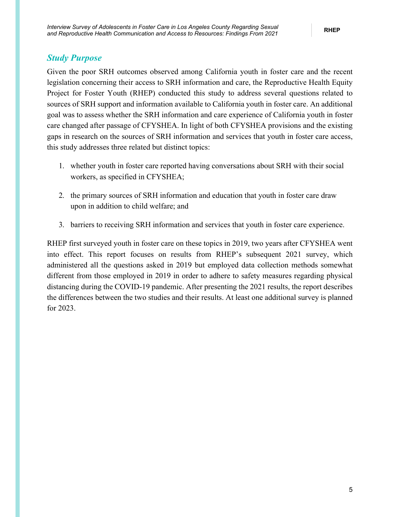### <span id="page-10-0"></span>*Study Purpose*

Given the poor SRH outcomes observed among California youth in foster care and the recent legislation concerning their access to SRH information and care, the Reproductive Health Equity Project for Foster Youth (RHEP) conducted this study to address several questions related to sources of SRH support and information available to California youth in foster care. An additional goal was to assess whether the SRH information and care experience of California youth in foster care changed after passage of CFYSHEA. In light of both CFYSHEA provisions and the existing gaps in research on the sources of SRH information and services that youth in foster care access, this study addresses three related but distinct topics:

- 1. whether youth in foster care reported having conversations about SRH with their social workers, as specified in CFYSHEA;
- 2. the primary sources of SRH information and education that youth in foster care draw upon in addition to child welfare; and
- 3. barriers to receiving SRH information and services that youth in foster care experience.

RHEP first surveyed youth in foster care on these topics in 2019, two years after CFYSHEA went into effect. This report focuses on results from RHEP's subsequent 2021 survey, which administered all the questions asked in 2019 but employed data collection methods somewhat different from those employed in 2019 in order to adhere to safety measures regarding physical distancing during the COVID-19 pandemic. After presenting the 2021 results, the report describes the differences between the two studies and their results. At least one additional survey is planned for 2023.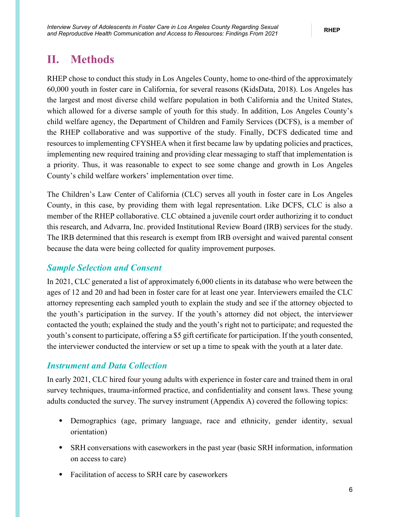## <span id="page-11-0"></span>**II. Methods**

RHEP chose to conduct this study in Los Angeles County, home to one-third of the approximately 60,000 youth in foster care in California, for several reasons (KidsData, 2018). Los Angeles has the largest and most diverse child welfare population in both California and the United States, which allowed for a diverse sample of youth for this study. In addition, Los Angeles County's child welfare agency, the Department of Children and Family Services (DCFS), is a member of the RHEP collaborative and was supportive of the study. Finally, DCFS dedicated time and resources to implementing CFYSHEA when it first became law by updating policies and practices, implementing new required training and providing clear messaging to staff that implementation is a priority. Thus, it was reasonable to expect to see some change and growth in Los Angeles County's child welfare workers' implementation over time.

The Children's Law Center of California (CLC) serves all youth in foster care in Los Angeles County, in this case, by providing them with legal representation. Like DCFS, CLC is also a member of the RHEP collaborative. CLC obtained a juvenile court order authorizing it to conduct this research, and Advarra, Inc. provided Institutional Review Board (IRB) services for the study. The IRB determined that this research is exempt from IRB oversight and waived parental consent because the data were being collected for quality improvement purposes.

### <span id="page-11-1"></span>*Sample Selection and Consent*

In 2021, CLC generated a list of approximately 6,000 clients in its database who were between the ages of 12 and 20 and had been in foster care for at least one year. Interviewers emailed the CLC attorney representing each sampled youth to explain the study and see if the attorney objected to the youth's participation in the survey. If the youth's attorney did not object, the interviewer contacted the youth; explained the study and the youth's right not to participate; and requested the youth's consent to participate, offering a \$5 gift certificate for participation. If the youth consented, the interviewer conducted the interview or set up a time to speak with the youth at a later date.

### <span id="page-11-2"></span>*Instrument and Data Collection*

In early 2021, CLC hired four young adults with experience in foster care and trained them in oral survey techniques, trauma-informed practice, and confidentiality and consent laws. These young adults conducted the survey. The survey instrument (Appendix A) covered the following topics:

- Demographics (age, primary language, race and ethnicity, gender identity, sexual orientation)
- SRH conversations with caseworkers in the past year (basic SRH information, information on access to care)
- Facilitation of access to SRH care by caseworkers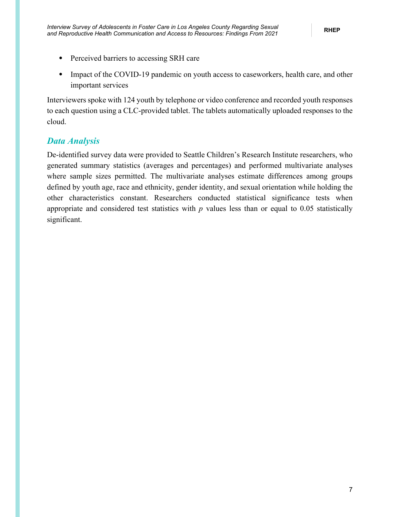- Perceived barriers to accessing SRH care
- Impact of the COVID-19 pandemic on youth access to caseworkers, health care, and other important services

Interviewers spoke with 124 youth by telephone or video conference and recorded youth responses to each question using a CLC-provided tablet. The tablets automatically uploaded responses to the cloud.

### <span id="page-12-0"></span>*Data Analysis*

De-identified survey data were provided to Seattle Children's Research Institute researchers, who generated summary statistics (averages and percentages) and performed multivariate analyses where sample sizes permitted. The multivariate analyses estimate differences among groups defined by youth age, race and ethnicity, gender identity, and sexual orientation while holding the other characteristics constant. Researchers conducted statistical significance tests when appropriate and considered test statistics with *p* values less than or equal to 0.05 statistically significant.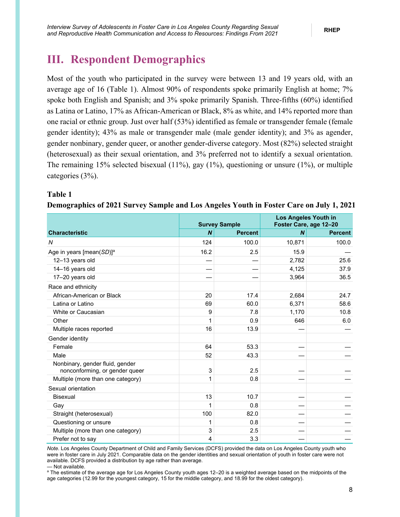## <span id="page-13-0"></span>**III. Respondent Demographics**

Most of the youth who participated in the survey were between 13 and 19 years old, with an average age of 16 (Table 1). Almost 90% of respondents spoke primarily English at home; 7% spoke both English and Spanish; and 3% spoke primarily Spanish. Three-fifths (60%) identified as Latina or Latino, 17% as African-American or Black, 8% as white, and 14% reported more than one racial or ethnic group. Just over half (53%) identified as female or transgender female (female gender identity); 43% as male or transgender male (male gender identity); and 3% as agender, gender nonbinary, gender queer, or another gender-diverse category. Most (82%) selected straight (heterosexual) as their sexual orientation, and 3% preferred not to identify a sexual orientation. The remaining 15% selected bisexual (11%), gay (1%), questioning or unsure (1%), or multiple categories (3%).

### <span id="page-13-1"></span>**Table 1**

|                                                                   |                  | <b>Survey Sample</b> | <b>Los Angeles Youth in</b><br>Foster Care, age 12-20 |                |  |  |
|-------------------------------------------------------------------|------------------|----------------------|-------------------------------------------------------|----------------|--|--|
| <b>Characteristic</b>                                             | $\boldsymbol{N}$ | <b>Percent</b>       | $\boldsymbol{N}$                                      | <b>Percent</b> |  |  |
| N                                                                 | 124              | 100.0                | 10,871                                                | 100.0          |  |  |
| Age in years [mean(SD)] <sup>a</sup>                              | 16.2             | 2.5                  | 15.9                                                  |                |  |  |
| 12-13 years old                                                   |                  |                      | 2,782                                                 | 25.6           |  |  |
| 14-16 years old                                                   |                  |                      | 4,125                                                 | 37.9           |  |  |
| 17-20 years old                                                   |                  |                      | 3,964                                                 | 36.5           |  |  |
| Race and ethnicity                                                |                  |                      |                                                       |                |  |  |
| African-American or Black                                         | 20               | 17.4                 | 2,684                                                 | 24.7           |  |  |
| Latina or Latino                                                  | 69               | 60.0                 | 6,371                                                 | 58.6           |  |  |
| White or Caucasian                                                | 9                | 7.8                  | 1,170                                                 | 10.8           |  |  |
| Other                                                             | 1                | 0.9                  | 646                                                   | 6.0            |  |  |
| Multiple races reported                                           | 16               | 13.9                 |                                                       |                |  |  |
| Gender identity                                                   |                  |                      |                                                       |                |  |  |
| Female                                                            | 64               | 53.3                 |                                                       |                |  |  |
| Male                                                              | 52               | 43.3                 |                                                       |                |  |  |
| Nonbinary, gender fluid, gender<br>nonconforming, or gender queer | 3                | 2.5                  |                                                       |                |  |  |
| Multiple (more than one category)                                 |                  | 0.8                  |                                                       |                |  |  |
| Sexual orientation                                                |                  |                      |                                                       |                |  |  |
| <b>Bisexual</b>                                                   | 13               | 10.7                 |                                                       |                |  |  |
| Gay                                                               | 1                | 0.8                  |                                                       |                |  |  |
| Straight (heterosexual)                                           | 100              | 82.0                 |                                                       |                |  |  |
| Questioning or unsure                                             |                  | 0.8                  |                                                       |                |  |  |
| Multiple (more than one category)                                 | 3                | 2.5                  |                                                       |                |  |  |
| Prefer not to say                                                 | 4                | 3.3                  |                                                       |                |  |  |

#### **Demographics of 2021 Survey Sample and Los Angeles Youth in Foster Care on July 1, 2021**

*Note.* Los Angeles County Department of Child and Family Services (DCFS) provided the data on Los Angeles County youth who were in foster care in July 2021. Comparable data on the gender identities and sexual orientation of youth in foster care were not available. DCFS provided a distribution by age rather than average. — Not available.

a The estimate of the average age for Los Angeles County youth ages 12–20 is a weighted average based on the midpoints of the age categories (12.99 for the youngest category, 15 for the middle category, and 18.99 for the oldest category).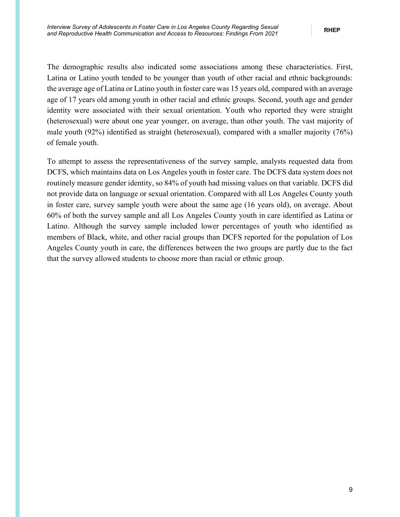The demographic results also indicated some associations among these characteristics. First, Latina or Latino youth tended to be younger than youth of other racial and ethnic backgrounds: the average age of Latina or Latino youth in foster care was 15 years old, compared with an average age of 17 years old among youth in other racial and ethnic groups. Second, youth age and gender identity were associated with their sexual orientation. Youth who reported they were straight (heterosexual) were about one year younger, on average, than other youth. The vast majority of male youth (92%) identified as straight (heterosexual), compared with a smaller majority (76%) of female youth.

To attempt to assess the representativeness of the survey sample, analysts requested data from DCFS, which maintains data on Los Angeles youth in foster care. The DCFS data system does not routinely measure gender identity, so 84% of youth had missing values on that variable. DCFS did not provide data on language or sexual orientation. Compared with all Los Angeles County youth in foster care, survey sample youth were about the same age (16 years old), on average. About 60% of both the survey sample and all Los Angeles County youth in care identified as Latina or Latino. Although the survey sample included lower percentages of youth who identified as members of Black, white, and other racial groups than DCFS reported for the population of Los Angeles County youth in care, the differences between the two groups are partly due to the fact that the survey allowed students to choose more than racial or ethnic group.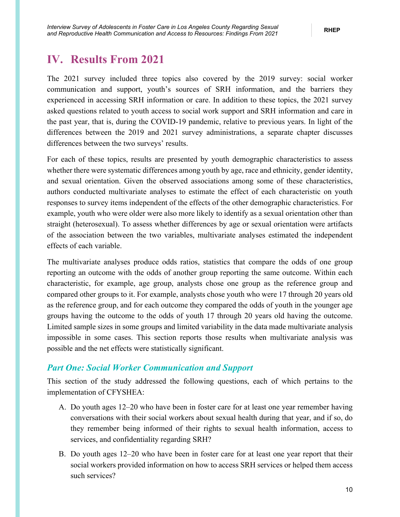## <span id="page-15-0"></span>**IV. Results From 2021**

The 2021 survey included three topics also covered by the 2019 survey: social worker communication and support, youth's sources of SRH information, and the barriers they experienced in accessing SRH information or care. In addition to these topics, the 2021 survey asked questions related to youth access to social work support and SRH information and care in the past year, that is, during the COVID-19 pandemic, relative to previous years. In light of the differences between the 2019 and 2021 survey administrations, a separate chapter discusses differences between the two surveys' results.

For each of these topics, results are presented by youth demographic characteristics to assess whether there were systematic differences among youth by age, race and ethnicity, gender identity, and sexual orientation. Given the observed associations among some of these characteristics, authors conducted multivariate analyses to estimate the effect of each characteristic on youth responses to survey items independent of the effects of the other demographic characteristics. For example, youth who were older were also more likely to identify as a sexual orientation other than straight (heterosexual). To assess whether differences by age or sexual orientation were artifacts of the association between the two variables, multivariate analyses estimated the independent effects of each variable.

The multivariate analyses produce odds ratios, statistics that compare the odds of one group reporting an outcome with the odds of another group reporting the same outcome. Within each characteristic, for example, age group, analysts chose one group as the reference group and compared other groups to it. For example, analysts chose youth who were 17 through 20 years old as the reference group, and for each outcome they compared the odds of youth in the younger age groups having the outcome to the odds of youth 17 through 20 years old having the outcome. Limited sample sizes in some groups and limited variability in the data made multivariate analysis impossible in some cases. This section reports those results when multivariate analysis was possible and the net effects were statistically significant.

### <span id="page-15-1"></span>*Part One: Social Worker Communication and Support*

This section of the study addressed the following questions, each of which pertains to the implementation of CFYSHEA:

- A. Do youth ages 12–20 who have been in foster care for at least one year remember having conversations with their social workers about sexual health during that year, and if so, do they remember being informed of their rights to sexual health information, access to services, and confidentiality regarding SRH?
- B. Do youth ages 12–20 who have been in foster care for at least one year report that their social workers provided information on how to access SRH services or helped them access such services?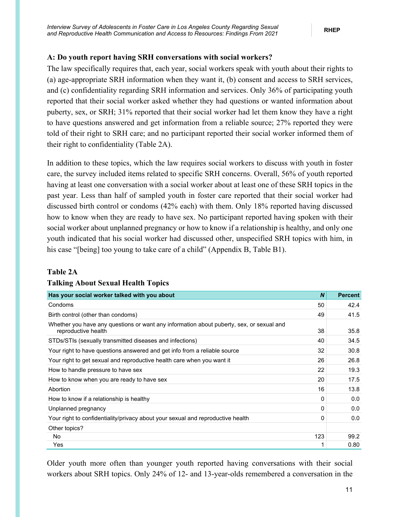### <span id="page-16-0"></span>**A: Do youth report having SRH conversations with social workers?**

The law specifically requires that, each year, social workers speak with youth about their rights to (a) age-appropriate SRH information when they want it, (b) consent and access to SRH services, and (c) confidentiality regarding SRH information and services. Only 36% of participating youth reported that their social worker asked whether they had questions or wanted information about puberty, sex, or SRH; 31% reported that their social worker had let them know they have a right to have questions answered and get information from a reliable source; 27% reported they were told of their right to SRH care; and no participant reported their social worker informed them of their right to confidentiality (Table 2A).

In addition to these topics, which the law requires social workers to discuss with youth in foster care, the survey included items related to specific SRH concerns. Overall, 56% of youth reported having at least one conversation with a social worker about at least one of these SRH topics in the past year. Less than half of sampled youth in foster care reported that their social worker had discussed birth control or condoms (42% each) with them. Only 18% reported having discussed how to know when they are ready to have sex. No participant reported having spoken with their social worker about unplanned pregnancy or how to know if a relationship is healthy, and only one youth indicated that his social worker had discussed other, unspecified SRH topics with him, in his case "[being] too young to take care of a child" (Appendix B, Table B1).

#### <span id="page-16-1"></span>**Table 2A**

| Has your social worker talked with you about                                                                    | $\boldsymbol{N}$ | <b>Percent</b> |
|-----------------------------------------------------------------------------------------------------------------|------------------|----------------|
| Condoms                                                                                                         | 50               | 42.4           |
| Birth control (other than condoms)                                                                              | 49               | 41.5           |
| Whether you have any questions or want any information about puberty, sex, or sexual and<br>reproductive health | 38               | 35.8           |
| STDs/STIs (sexually transmitted diseases and infections)                                                        | 40               | 34.5           |
| Your right to have questions answered and get info from a reliable source                                       | 32               | 30.8           |
| Your right to get sexual and reproductive health care when you want it                                          | 26               | 26.8           |
| How to handle pressure to have sex                                                                              | 22               | 19.3           |
| How to know when you are ready to have sex                                                                      | 20               | 17.5           |
| Abortion                                                                                                        | 16               | 13.8           |
| How to know if a relationship is healthy                                                                        | 0                | 0.0            |
| Unplanned pregnancy                                                                                             | $\Omega$         | 0.0            |
| Your right to confidentiality/privacy about your sexual and reproductive health                                 | 0                | 0.0            |
| Other topics?                                                                                                   |                  |                |
| No.                                                                                                             | 123              | 99.2           |
| Yes                                                                                                             |                  | 0.80           |

### **Talking About Sexual Health Topics**

Older youth more often than younger youth reported having conversations with their social workers about SRH topics. Only 24% of 12- and 13-year-olds remembered a conversation in the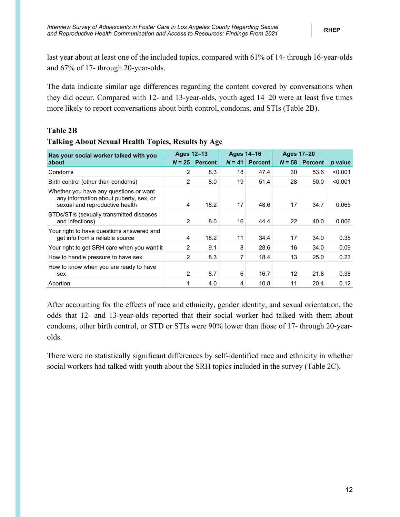last year about at least one of the included topics, compared with 61% of 14- through 16-year-olds and 67% of 17- through 20-year-olds.

The data indicate similar age differences regarding the content covered by conversations when they did occur. Compared with 12- and 13-year-olds, youth aged 14–20 were at least five times more likely to report conversations about birth control, condoms, and STIs (Table 2B).

### <span id="page-17-0"></span>**Table 2B**

### **Talking About Sexual Health Topics, Results by Age**

| Has your social worker talked with you                                                                             | <b>Ages 12-13</b> |                | <b>Ages 14-16</b> |                | <b>Ages 17-20</b> |                |         |
|--------------------------------------------------------------------------------------------------------------------|-------------------|----------------|-------------------|----------------|-------------------|----------------|---------|
| about                                                                                                              | $N = 25$          | <b>Percent</b> | $N = 41$          | <b>Percent</b> | $N = 58$          | <b>Percent</b> | p value |
| Condoms                                                                                                            | 2                 | 8.3            | 18                | 47.4           | 30                | 53.6           | < 0.001 |
| Birth control (other than condoms)                                                                                 | 2                 | 8.0            | 19                | 51.4           | 28                | 50.0           | < 0.001 |
| Whether you have any questions or want<br>any information about puberty, sex, or<br>sexual and reproductive health | 4                 | 18.2           | 17                | 48.6           | 17                | 34.7           | 0.065   |
| STDs/STIs (sexually transmitted diseases<br>and infections)                                                        | $\overline{2}$    | 8.0            | 16                | 44.4           | 22                | 40.0           | 0.006   |
| Your right to have questions answered and<br>get info from a reliable source                                       | 4                 | 18.2           | 11                | 34.4           | 17                | 34.0           | 0.35    |
| Your right to get SRH care when you want it                                                                        | 2                 | 9.1            | 8                 | 28.6           | 16                | 34.0           | 0.09    |
| How to handle pressure to have sex                                                                                 | 2                 | 8.3            | 7                 | 18.4           | 13                | 25.0           | 0.23    |
| How to know when you are ready to have<br>sex                                                                      | 2                 | 8.7            | 6                 | 16.7           | 12                | 21.8           | 0.38    |
| Abortion                                                                                                           | 1                 | 4.0            | 4                 | 10.8           | 11                | 20.4           | 0.12    |

After accounting for the effects of race and ethnicity, gender identity, and sexual orientation, the odds that 12- and 13-year-olds reported that their social worker had talked with them about condoms, other birth control, or STD or STIs were 90% lower than those of 17- through 20-yearolds.

There were no statistically significant differences by self-identified race and ethnicity in whether social workers had talked with youth about the SRH topics included in the survey (Table 2C).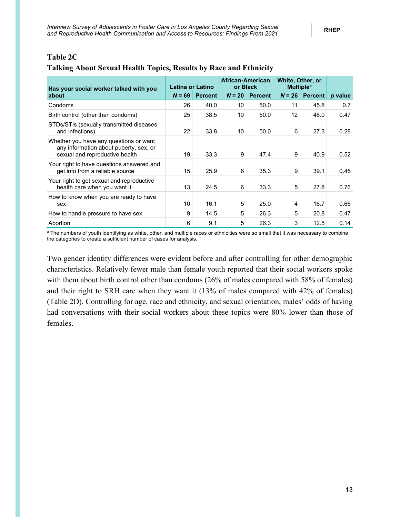<span id="page-18-0"></span>

| <b>Table 2C</b> |  |
|-----------------|--|
|                 |  |

### **Talking About Sexual Health Topics, Results by Race and Ethnicity**

| Has your social worker talked with you                                                                             | Latina or Latino |                |          | African-American<br>or Black | White, Other, or<br><b>Multiple<sup>a</sup></b> |                |         |
|--------------------------------------------------------------------------------------------------------------------|------------------|----------------|----------|------------------------------|-------------------------------------------------|----------------|---------|
| about                                                                                                              | $N = 69$         | <b>Percent</b> | $N = 20$ | <b>Percent</b>               | $N = 26$                                        | <b>Percent</b> | p value |
| Condoms                                                                                                            | 26               | 40.0           | 10       | 50.0                         | 11                                              | 45.8           | 0.7     |
| Birth control (other than condoms)                                                                                 | 25               | 38.5           | 10       | 50.0                         | 12                                              | 48.0           | 0.47    |
| STDs/STIs (sexually transmitted diseases<br>and infections)                                                        | 22               | 33.8           | 10       | 50.0                         | 6                                               | 27.3           | 0.28    |
| Whether you have any questions or want<br>any information about puberty, sex, or<br>sexual and reproductive health | 19               | 33.3           | 9        | 47.4                         | 9                                               | 40.9           | 0.52    |
| Your right to have questions answered and<br>get info from a reliable source                                       | 15               | 25.9           | 6        | 35.3                         | 9                                               | 39.1           | 0.45    |
| Your right to get sexual and reproductive<br>health care when you want it                                          | 13               | 24.5           | 6        | 33.3                         | 5                                               | 27.8           | 0.76    |
| How to know when you are ready to have<br>sex                                                                      | 10               | 16.1           | 5        | 25.0                         | 4                                               | 16.7           | 0.66    |
| How to handle pressure to have sex                                                                                 | 9                | 14.5           | 5        | 26.3                         | 5                                               | 20.8           | 0.47    |
| Abortion                                                                                                           | 6                | 9.1            | 5        | 26.3                         | 3                                               | 12.5           | 0.14    |

<sup>a</sup> The numbers of youth identifying as white, other, and multiple races or ethnicities were so small that it was necessary to combine the categories to create a sufficient number of cases for analysis.

Two gender identity differences were evident before and after controlling for other demographic characteristics. Relatively fewer male than female youth reported that their social workers spoke with them about birth control other than condoms (26% of males compared with 58% of females) and their right to SRH care when they want it (13% of males compared with 42% of females) (Table 2D). Controlling for age, race and ethnicity, and sexual orientation, males' odds of having had conversations with their social workers about these topics were 80% lower than those of females.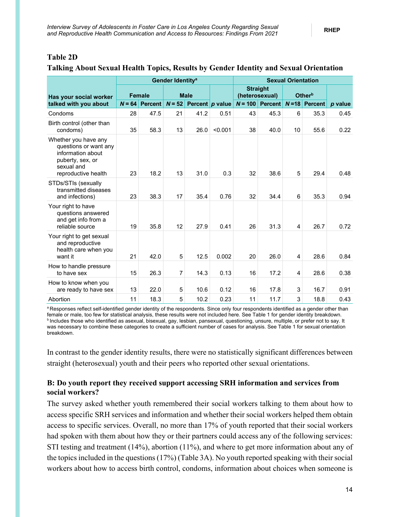### <span id="page-19-1"></span>**Table 2D**

### **Talking About Sexual Health Topics, Results by Gender Identity and Sexual Orientation**

|                                                                                                                             |               |                | Gender Identity <sup>a</sup> |             |                   | <b>Sexual Orientation</b> |                                                         |    |                |         |
|-----------------------------------------------------------------------------------------------------------------------------|---------------|----------------|------------------------------|-------------|-------------------|---------------------------|---------------------------------------------------------|----|----------------|---------|
| Has your social worker                                                                                                      | <b>Female</b> |                |                              | <b>Male</b> |                   |                           | <b>Straight</b><br>Other <sup>b</sup><br>(heterosexual) |    |                |         |
| talked with you about                                                                                                       | $N = 64$      | <b>Percent</b> | $N = 52$                     |             | Percent $p$ value | $N = 100$                 | Percent $N=18$                                          |    | <b>Percent</b> | p value |
| Condoms                                                                                                                     | 28            | 47.5           | 21                           | 41.2        | 0.51              | 43                        | 45.3                                                    | 6  | 35.3           | 0.45    |
| Birth control (other than<br>condoms)                                                                                       | 35            | 58.3           | 13                           | 26.0        | < 0.001           | 38                        | 40.0                                                    | 10 | 55.6           | 0.22    |
| Whether you have any<br>questions or want any<br>information about<br>puberty, sex, or<br>sexual and<br>reproductive health | 23            | 18.2           | 13                           | 31.0        | 0.3               | 32                        | 38.6                                                    | 5  | 29.4           | 0.48    |
| STDs/STIs (sexually<br>transmitted diseases<br>and infections)                                                              | 23            | 38.3           | 17                           | 35.4        | 0.76              | 32                        | 34.4                                                    | 6  | 35.3           | 0.94    |
| Your right to have<br>questions answered<br>and get info from a<br>reliable source                                          | 19            | 35.8           | 12                           | 27.9        | 0.41              | 26                        | 31.3                                                    | 4  | 26.7           | 0.72    |
| Your right to get sexual<br>and reproductive<br>health care when you<br>want it                                             | 21            | 42.0           | 5                            | 12.5        | 0.002             | 20                        | 26.0                                                    | 4  | 28.6           | 0.84    |
| How to handle pressure<br>to have sex                                                                                       | 15            | 26.3           | 7                            | 14.3        | 0.13              | 16                        | 17.2                                                    | 4  | 28.6           | 0.38    |
| How to know when you<br>are ready to have sex                                                                               | 13            | 22.0           | 5                            | 10.6        | 0.12              | 16                        | 17.8                                                    | 3  | 16.7           | 0.91    |
| Abortion                                                                                                                    | 11            | 18.3           | 5                            | 10.2        | 0.23              | 11                        | 11.7                                                    | 3  | 18.8           | 0.43    |

a Responses reflect self-identified gender identity of the respondents. Since only four respondents identified as a gender other than female or male, too few for statistical analysis, these results were not included here. See Table 1 for gender identity breakdown. **b** Includes those who identified as asexual, bisexual, gay, lesbian, pansexual, questioning, unsure, multiple, or prefer not to say. It was necessary to combine these categories to create a sufficient number of cases for analysis. See Table 1 for sexual orientation breakdown.

In contrast to the gender identity results, there were no statistically significant differences between straight (heterosexual) youth and their peers who reported other sexual orientations.

### <span id="page-19-0"></span>**B: Do youth report they received support accessing SRH information and services from social workers?**

The survey asked whether youth remembered their social workers talking to them about how to access specific SRH services and information and whether their social workers helped them obtain access to specific services. Overall, no more than 17% of youth reported that their social workers had spoken with them about how they or their partners could access any of the following services: STI testing and treatment (14%), abortion (11%), and where to get more information about any of the topics included in the questions (17%) (Table 3A). No youth reported speaking with their social workers about how to access birth control, condoms, information about choices when someone is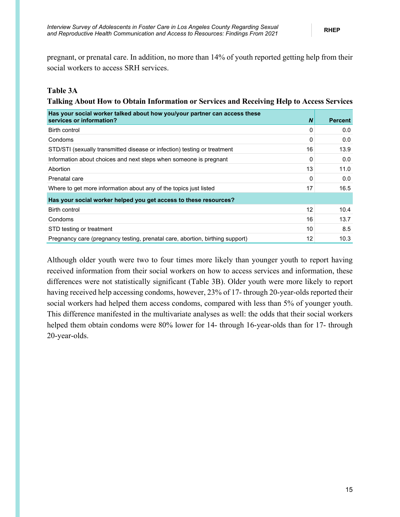pregnant, or prenatal care. In addition, no more than 14% of youth reported getting help from their social workers to access SRH services.

### <span id="page-20-0"></span>**Table 3A**

#### **Talking About How to Obtain Information or Services and Receiving Help to Access Services**

| Has your social worker talked about how you/your partner can access these<br>services or information? | N  | <b>Percent</b> |
|-------------------------------------------------------------------------------------------------------|----|----------------|
| Birth control                                                                                         | 0  | 0.0            |
| Condoms                                                                                               | 0  | 0.0            |
| STD/STI (sexually transmitted disease or infection) testing or treatment                              | 16 | 13.9           |
| Information about choices and next steps when someone is pregnant                                     | 0  | 0.0            |
| Abortion                                                                                              | 13 | 11.0           |
| Prenatal care                                                                                         | 0  | 0.0            |
| Where to get more information about any of the topics just listed                                     | 17 | 16.5           |
| Has your social worker helped you get access to these resources?                                      |    |                |
| Birth control                                                                                         | 12 | 10.4           |
| Condoms                                                                                               | 16 | 13.7           |
| STD testing or treatment                                                                              | 10 | 8.5            |
| Pregnancy care (pregnancy testing, prenatal care, abortion, birthing support)                         | 12 | 10.3           |

Although older youth were two to four times more likely than younger youth to report having received information from their social workers on how to access services and information, these differences were not statistically significant (Table 3B). Older youth were more likely to report having received help accessing condoms, however, 23% of 17- through 20-year-olds reported their social workers had helped them access condoms, compared with less than 5% of younger youth. This difference manifested in the multivariate analyses as well: the odds that their social workers helped them obtain condoms were 80% lower for 14- through 16-year-olds than for 17- through 20-year-olds.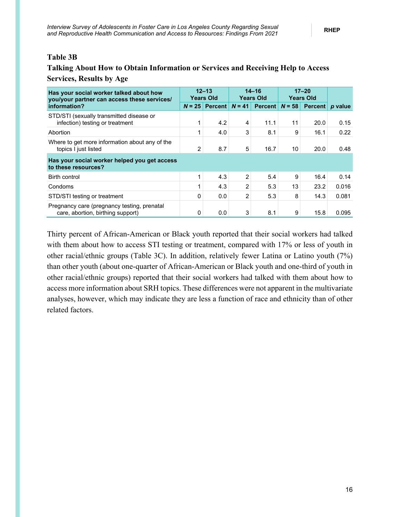### <span id="page-21-0"></span>**Table 3B**

## **Talking About How to Obtain Information or Services and Receiving Help to Access Services, Results by Age**

| Has your social worker talked about how<br>you/your partner can access these services/ |          | $12 - 13$<br><b>Years Old</b> |          | $14 - 16$<br><b>Years Old</b> |          | $17 - 20$<br><b>Years Old</b> |                 |
|----------------------------------------------------------------------------------------|----------|-------------------------------|----------|-------------------------------|----------|-------------------------------|-----------------|
| information?                                                                           | $N = 25$ | Percent                       | $N = 41$ | <b>Percent</b>                | $N = 58$ |                               | Percent p value |
| STD/STI (sexually transmitted disease or<br>infection) testing or treatment            |          | 4.2                           | 4        | 11.1                          | 11       | 20.0                          | 0.15            |
| Abortion                                                                               |          | 4.0                           | 3        | 8.1                           | 9        | 16.1                          | 0.22            |
| Where to get more information about any of the<br>topics I just listed                 | 2        | 8.7                           | 5        | 16.7                          | 10       | 20.0                          | 0.48            |
| Has your social worker helped you get access<br>to these resources?                    |          |                               |          |                               |          |                               |                 |
| Birth control                                                                          |          | 4.3                           | 2        | 5.4                           | 9        | 16.4                          | 0.14            |
| Condoms                                                                                |          | 4.3                           | 2        | 5.3                           | 13       | 23.2                          | 0.016           |
| STD/STI testing or treatment                                                           | 0        | 0.0                           | 2        | 5.3                           | 8        | 14.3                          | 0.081           |
| Pregnancy care (pregnancy testing, prenatal<br>care, abortion, birthing support)       | 0        | 0.0                           | 3        | 8.1                           | 9        | 15.8                          | 0.095           |

Thirty percent of African-American or Black youth reported that their social workers had talked with them about how to access STI testing or treatment, compared with 17% or less of youth in other racial/ethnic groups (Table 3C). In addition, relatively fewer Latina or Latino youth (7%) than other youth (about one-quarter of African-American or Black youth and one-third of youth in other racial/ethnic groups) reported that their social workers had talked with them about how to access more information about SRH topics. These differences were not apparent in the multivariate analyses, however, which may indicate they are less a function of race and ethnicity than of other related factors.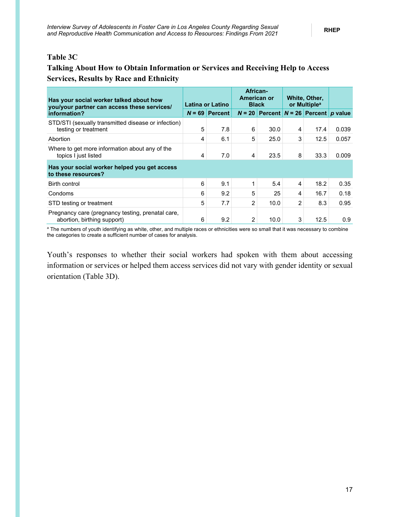### <span id="page-22-0"></span>**Table 3C**

### **Talking About How to Obtain Information or Services and Receiving Help to Access Services, Results by Race and Ethnicity**

| Has your social worker talked about how<br>you/your partner can access these services/ |   | Latina or Latino |                | African-<br>American or<br><b>Black</b>   |   | White, Other,<br>or Multiple <sup>a</sup> |       |
|----------------------------------------------------------------------------------------|---|------------------|----------------|-------------------------------------------|---|-------------------------------------------|-------|
| information?                                                                           |   | $N = 69$ Percent |                | $N = 20$ Percent $N = 26$ Percent p value |   |                                           |       |
| STD/STI (sexually transmitted disease or infection)<br>testing or treatment            | 5 | 7.8              | 6              | 30.0                                      | 4 | 17.4                                      | 0.039 |
| Abortion                                                                               | 4 | 6.1              | 5              | 25.0                                      | 3 | 12.5                                      | 0.057 |
| Where to get more information about any of the<br>topics I just listed                 | 4 | 7.0              | 4              | 23.5                                      | 8 | 33.3                                      | 0.009 |
| Has your social worker helped you get access<br>to these resources?                    |   |                  |                |                                           |   |                                           |       |
| Birth control                                                                          | 6 | 9.1              | 1              | 5.4                                       | 4 | 18.2                                      | 0.35  |
| Condoms                                                                                | 6 | 9.2              | 5              | 25                                        | 4 | 16.7                                      | 0.18  |
| STD testing or treatment                                                               | 5 | 7.7              | $\overline{2}$ | 10.0                                      | 2 | 8.3                                       | 0.95  |
| Pregnancy care (pregnancy testing, prenatal care,<br>abortion, birthing support)       | 6 | 9.2              | 2              | 10.0                                      | 3 | 12.5                                      | 0.9   |

<sup>a</sup> The numbers of youth identifying as white, other, and multiple races or ethnicities were so small that it was necessary to combine the categories to create a sufficient number of cases for analysis.

Youth's responses to whether their social workers had spoken with them about accessing information or services or helped them access services did not vary with gender identity or sexual orientation (Table 3D).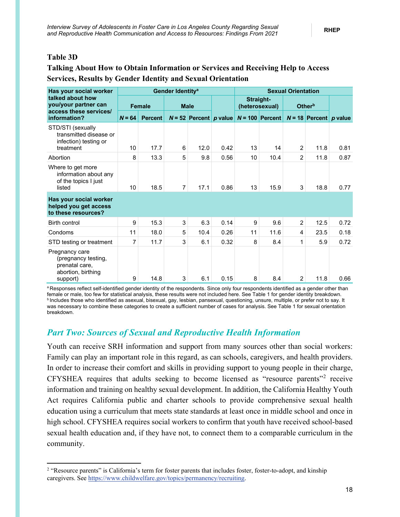### <span id="page-23-1"></span>**Table 3D**

### **Talking About How to Obtain Information or Services and Receiving Help to Access Services, Results by Gender Identity and Sexual Orientation**

| Has your social worker                                                                    | Gender Identity <sup>a</sup> |                |                |                          |      | <b>Sexual Orientation</b>   |                   |                |                                 |      |  |
|-------------------------------------------------------------------------------------------|------------------------------|----------------|----------------|--------------------------|------|-----------------------------|-------------------|----------------|---------------------------------|------|--|
| talked about how<br>you/your partner can<br>access these services/                        |                              | <b>Female</b>  |                | <b>Male</b>              |      | Straight-<br>(heterosexual) |                   |                | Other <sup>b</sup>              |      |  |
| information?                                                                              | $N = 64$                     | <b>Percent</b> |                | $N = 52$ Percent p value |      |                             | $N = 100$ Percent |                | $N = 18$ Percent <i>p</i> value |      |  |
| STD/STI (sexually<br>transmitted disease or<br>infection) testing or                      |                              |                |                |                          |      |                             |                   |                |                                 |      |  |
| treatment                                                                                 | 10                           | 17.7           | 6              | 12.0                     | 0.42 | 13                          | 14                | $\overline{2}$ | 11.8                            | 0.81 |  |
| Abortion                                                                                  | 8                            | 13.3           | 5              | 9.8                      | 0.56 | 10                          | 10.4              | $\overline{2}$ | 11.8                            | 0.87 |  |
| Where to get more<br>information about any<br>of the topics I just<br>listed              | 10                           | 18.5           | $\overline{7}$ | 17.1                     | 0.86 | 13                          | 15.9              | 3              | 18.8                            | 0.77 |  |
| Has your social worker<br>helped you get access<br>to these resources?                    |                              |                |                |                          |      |                             |                   |                |                                 |      |  |
| <b>Birth control</b>                                                                      | 9                            | 15.3           | 3              | 6.3                      | 0.14 | 9                           | 9.6               | $\overline{2}$ | 12.5                            | 0.72 |  |
| Condoms                                                                                   | 11                           | 18.0           | 5              | 10.4                     | 0.26 | 11                          | 11.6              | 4              | 23.5                            | 0.18 |  |
| STD testing or treatment                                                                  | 7                            | 11.7           | 3              | 6.1                      | 0.32 | 8                           | 8.4               | 1              | 5.9                             | 0.72 |  |
| Pregnancy care<br>(pregnancy testing,<br>prenatal care,<br>abortion, birthing<br>support) | 9                            | 14.8           | 3              | 6.1                      | 0.15 | 8                           | 8.4               | $\overline{2}$ | 11.8                            | 0.66 |  |

a Responses reflect self-identified gender identity of the respondents. Since only four respondents identified as a gender other than female or male, too few for statistical analysis, these results were not included here. See Table 1 for gender identity breakdown. **b** Includes those who identified as asexual, bisexual, gay, lesbian, pansexual, questioning, unsure, multiple, or prefer not to say. It was necessary to combine these categories to create a sufficient number of cases for analysis. See Table 1 for sexual orientation breakdown.

### <span id="page-23-0"></span>*Part Two: Sources of Sexual and Reproductive Health Information*

Youth can receive SRH information and support from many sources other than social workers: Family can play an important role in this regard, as can schools, caregivers, and health providers. In order to increase their comfort and skills in providing support to young people in their charge, CFYSHEA requires that adults seeking to become licensed as "resource parents"[2](#page-23-2) receive information and training on healthy sexual development. In addition, the California Healthy Youth Act requires California public and charter schools to provide comprehensive sexual health education using a curriculum that meets state standards at least once in middle school and once in high school. CFYSHEA requires social workers to confirm that youth have received school-based sexual health education and, if they have not, to connect them to a comparable curriculum in the community.

<span id="page-23-2"></span><sup>&</sup>lt;sup>2</sup> "Resource parents" is California's term for foster parents that includes foster, foster-to-adopt, and kinship caregivers. See [https://www.childwelfare.gov/topics/permanency/recruiting.](https://www.childwelfare.gov/topics/permanency/recruiting/)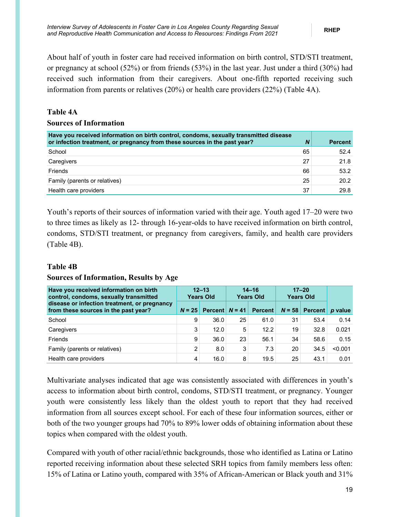About half of youth in foster care had received information on birth control, STD/STI treatment, or pregnancy at school (52%) or from friends (53%) in the last year. Just under a third (30%) had received such information from their caregivers. About one-fifth reported receiving such information from parents or relatives (20%) or health care providers (22%) (Table 4A).

### <span id="page-24-0"></span>**Table 4A**

### **Sources of Information**

| Have you received information on birth control, condoms, sexually transmitted disease<br>or infection treatment, or pregnancy from these sources in the past year? | N  | <b>Percent</b> |
|--------------------------------------------------------------------------------------------------------------------------------------------------------------------|----|----------------|
| School                                                                                                                                                             | 65 | 52.4           |
| Caregivers                                                                                                                                                         | 27 | 21.8           |
| Friends                                                                                                                                                            | 66 | 53.2           |
| Family (parents or relatives)                                                                                                                                      | 25 | 20.2           |
| Health care providers                                                                                                                                              | 37 | 29.8           |

Youth's reports of their sources of information varied with their age. Youth aged 17–20 were two to three times as likely as 12- through 16-year-olds to have received information on birth control, condoms, STD/STI treatment, or pregnancy from caregivers, family, and health care providers (Table 4B).

### <span id="page-24-1"></span>**Table 4B**

### **Sources of Information, Results by Age**

| Have you received information on birth<br>control, condoms, sexually transmitted     |                | $12 - 13$<br><b>Years Old</b> |    | $14 - 16$<br><b>Years Old</b> |          | $17 - 20$<br><b>Years Old</b> |         |
|--------------------------------------------------------------------------------------|----------------|-------------------------------|----|-------------------------------|----------|-------------------------------|---------|
| disease or infection treatment, or pregnancy<br>from these sources in the past year? | $N = 25$       | Percent $N = 41$              |    | <b>Percent</b>                | $N = 58$ | <b>Percent</b>                | p value |
| School                                                                               | 9              | 36.0                          | 25 | 61.0                          | 31       | 53.4                          | 0.14    |
| Caregivers                                                                           | 3              | 12.0                          | 5  | 12.2                          | 19       | 32.8                          | 0.021   |
| Friends                                                                              | 9              | 36.0                          | 23 | 56.1                          | 34       | 58.6                          | 0.15    |
| Family (parents or relatives)                                                        | $\overline{2}$ | 8.0                           | 3  | 7.3                           | 20       | 34.5                          | < 0.001 |
| Health care providers                                                                | 4              | 16.0                          | 8  | 19.5                          | 25       | 43.1                          | 0.01    |

Multivariate analyses indicated that age was consistently associated with differences in youth's access to information about birth control, condoms, STD/STI treatment, or pregnancy. Younger youth were consistently less likely than the oldest youth to report that they had received information from all sources except school. For each of these four information sources, either or both of the two younger groups had 70% to 89% lower odds of obtaining information about these topics when compared with the oldest youth.

Compared with youth of other racial/ethnic backgrounds, those who identified as Latina or Latino reported receiving information about these selected SRH topics from family members less often: 15% of Latina or Latino youth, compared with 35% of African-American or Black youth and 31%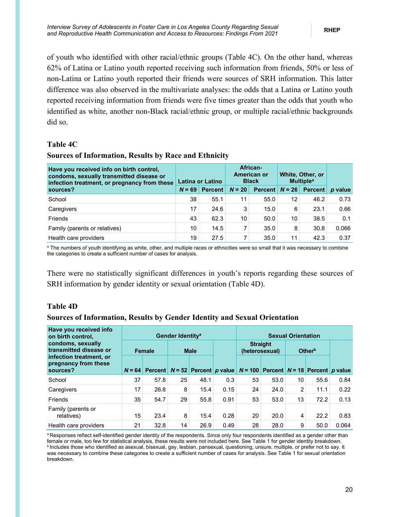of youth who identified with other racial/ethnic groups (Table 4C). On the other hand, whereas 62% of Latina or Latino youth reported receiving such information from friends, 50% or less of non-Latina or Latino youth reported their friends were sources of SRH information. This latter difference was also observed in the multivariate analyses: the odds that a Latina or Latino youth reported receiving information from friends were five times greater than the odds that youth who identified as white, another non-Black racial/ethnic group, or multiple racial/ethnic backgrounds did so.

### <span id="page-25-0"></span>**Table 4C**

### **Sources of Information, Results by Race and Ethnicity**

| Have you received info on birth control,<br>condoms, sexually transmitted disease or<br>infection treatment, or pregnancy from these | Latina or Latino |                |          | African-<br>American or<br><b>Black</b> | White, Other, or<br><b>Multiple<sup>a</sup></b> |                |         |
|--------------------------------------------------------------------------------------------------------------------------------------|------------------|----------------|----------|-----------------------------------------|-------------------------------------------------|----------------|---------|
| sources?                                                                                                                             | $N = 69$         | <b>Percent</b> | $N = 20$ | <b>Percent</b>                          | $N = 26$                                        | <b>Percent</b> | p value |
| School                                                                                                                               | 38               | 55.1           | 11       | 55.0                                    | 12                                              | 46.2           | 0.73    |
| Caregivers                                                                                                                           | 17               | 24.6           | 3        | 15.0                                    | 6                                               | 23.1           | 0.66    |
| Friends                                                                                                                              | 43               | 62.3           | 10       | 50.0                                    | 10                                              | 38.5           | 0.1     |
| Family (parents or relatives)                                                                                                        | 10               | 14.5           | 7        | 35.0                                    | 8                                               | 30.8           | 0.066   |
| Health care providers                                                                                                                | 19               | 27.5           | 7        | 35.0                                    | 11                                              | 42.3           | 0.37    |

<sup>a</sup> The numbers of youth identifying as white, other, and multiple races or ethnicities were so small that it was necessary to combine the categories to create a sufficient number of cases for analysis.

There were no statistically significant differences in youth's reports regarding these sources of SRH information by gender identity or sexual orientation (Table 4D).

### <span id="page-25-1"></span>**Table 4D**

### **Sources of Information, Results by Gender Identity and Sexual Orientation**

| Have you received info<br>on birth control,                 | Gender Identity <sup>a</sup> |        |    |                                        |      |           | <b>Sexual Orientation</b>         |    |                                        |       |  |  |
|-------------------------------------------------------------|------------------------------|--------|----|----------------------------------------|------|-----------|-----------------------------------|----|----------------------------------------|-------|--|--|
| condoms, sexually<br>transmitted disease or                 |                              | Female |    | <b>Male</b>                            |      |           | <b>Straight</b><br>(heterosexual) |    | Other <sup>b</sup>                     |       |  |  |
| infection treatment, or<br>pregnancy from these<br>sources? | $N = 64$                     |        |    | Percent   $N = 52$   Percent   p value |      | $N = 100$ |                                   |    | Percent   $N = 18$   Percent   p value |       |  |  |
| School                                                      | 37                           | 57.8   | 25 | 48.1                                   | 0.3  | 53        | 53.0                              | 10 | 55.6                                   | 0.84  |  |  |
| Caregivers                                                  | 17                           | 26.8   | 8  | 15.4                                   | 0.15 | 24        | 24.0                              | 2  | 11.1                                   | 0.22  |  |  |
| <b>Friends</b>                                              | 35                           | 54.7   | 29 | 55.8                                   | 0.91 | 53        | 53.0                              | 13 | 72.2                                   | 0.13  |  |  |
| Family (parents or<br>relatives)                            | 15                           | 23.4   | 8  | 15.4                                   | 0.28 | 20        | 20.0                              | 4  | 22.2                                   | 0.83  |  |  |
| Health care providers                                       | 21                           | 32.8   | 14 | 26.9                                   | 0.49 | 28        | 28.0                              | 9  | 50.0                                   | 0.064 |  |  |

a Responses reflect self-identified gender identity of the respondents. Since only four respondents identified as a gender other than female or male, too few for statistical analysis, these results were not included here. See Table 1 for gender identity breakdown. **b** Includes those who identified as asexual, bisexual, gay, lesbian, pansexual, questioning, unsure, multiple, or prefer not to say. It was necessary to combine these categories to create a sufficient number of cases for analysis. See Table 1 for sexual orientation breakdown.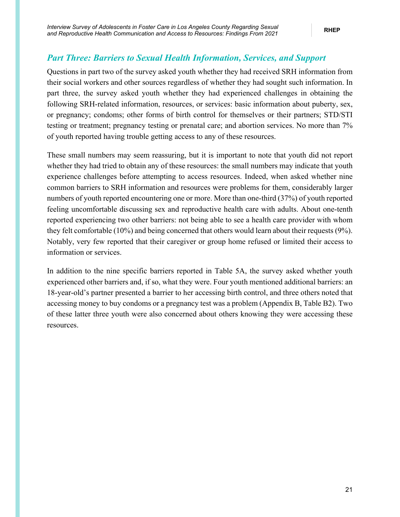### <span id="page-26-0"></span>*Part Three: Barriers to Sexual Health Information, Services, and Support*

Questions in part two of the survey asked youth whether they had received SRH information from their social workers and other sources regardless of whether they had sought such information. In part three, the survey asked youth whether they had experienced challenges in obtaining the following SRH-related information, resources, or services: basic information about puberty, sex, or pregnancy; condoms; other forms of birth control for themselves or their partners; STD/STI testing or treatment; pregnancy testing or prenatal care; and abortion services. No more than 7% of youth reported having trouble getting access to any of these resources.

These small numbers may seem reassuring, but it is important to note that youth did not report whether they had tried to obtain any of these resources: the small numbers may indicate that youth experience challenges before attempting to access resources. Indeed, when asked whether nine common barriers to SRH information and resources were problems for them, considerably larger numbers of youth reported encountering one or more. More than one-third (37%) of youth reported feeling uncomfortable discussing sex and reproductive health care with adults. About one-tenth reported experiencing two other barriers: not being able to see a health care provider with whom they felt comfortable (10%) and being concerned that others would learn about their requests (9%). Notably, very few reported that their caregiver or group home refused or limited their access to information or services.

In addition to the nine specific barriers reported in Table 5A, the survey asked whether youth experienced other barriers and, if so, what they were. Four youth mentioned additional barriers: an 18-year-old's partner presented a barrier to her accessing birth control, and three others noted that accessing money to buy condoms or a pregnancy test was a problem (Appendix B, Table B2). Two of these latter three youth were also concerned about others knowing they were accessing these resources.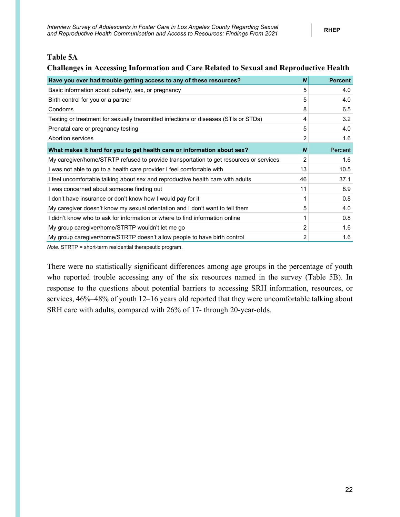#### <span id="page-27-0"></span>**Table 5A**

#### **Challenges in Accessing Information and Care Related to Sexual and Reproductive Health**

| Have you ever had trouble getting access to any of these resources?                    | $\boldsymbol{N}$ | <b>Percent</b> |
|----------------------------------------------------------------------------------------|------------------|----------------|
| Basic information about puberty, sex, or pregnancy                                     | 5                | 4.0            |
| Birth control for you or a partner                                                     | 5                | 4.0            |
| Condoms                                                                                | 8                | 6.5            |
| Testing or treatment for sexually transmitted infections or diseases (STIs or STDs)    | 4                | 3.2            |
| Prenatal care or pregnancy testing                                                     | 5                | 4.0            |
| Abortion services                                                                      | 2                | 1.6            |
| What makes it hard for you to get health care or information about sex?                | $\boldsymbol{N}$ | Percent        |
| My caregiver/home/STRTP refused to provide transportation to get resources or services | 2                | 1.6            |
| I was not able to go to a health care provider I feel comfortable with                 | 13               | 10.5           |
| I feel uncomfortable talking about sex and reproductive health care with adults        | 46               | 37.1           |
| I was concerned about someone finding out                                              | 11               | 8.9            |
| I don't have insurance or don't know how I would pay for it                            |                  | 0.8            |
| My caregiver doesn't know my sexual orientation and I don't want to tell them          | 5                | 4.0            |
| I didn't know who to ask for information or where to find information online           |                  | 0.8            |
| My group caregiver/home/STRTP wouldn't let me go                                       | 2                | 1.6            |
| My group caregiver/home/STRTP doesn't allow people to have birth control               | 2                | 1.6            |

*Note.* STRTP = short-term residential therapeutic program.

There were no statistically significant differences among age groups in the percentage of youth who reported trouble accessing any of the six resources named in the survey (Table 5B). In response to the questions about potential barriers to accessing SRH information, resources, or services, 46%–48% of youth 12–16 years old reported that they were uncomfortable talking about SRH care with adults, compared with 26% of 17- through 20-year-olds.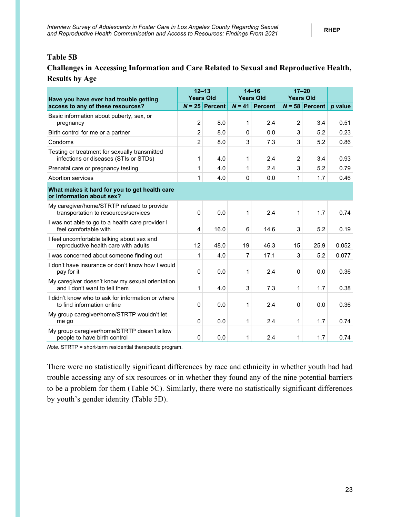#### <span id="page-28-0"></span>**Table 5B**

### **Challenges in Accessing Information and Care Related to Sexual and Reproductive Health, Results by Age**

| Have you have ever had trouble getting                                                 | $12 - 13$<br><b>Years Old</b> |                  | $14 - 16$<br><b>Years Old</b> |                | $17 - 20$<br><b>Years Old</b> |                  |         |
|----------------------------------------------------------------------------------------|-------------------------------|------------------|-------------------------------|----------------|-------------------------------|------------------|---------|
| access to any of these resources?                                                      |                               | $N = 25$ Percent | $N = 41$                      | <b>Percent</b> |                               | $N = 58$ Percent | p value |
| Basic information about puberty, sex, or<br>pregnancy                                  | $\overline{2}$                | 8.0              | 1                             | 2.4            | $\overline{2}$                | 3.4              | 0.51    |
| Birth control for me or a partner                                                      | $\overline{2}$                | 8.0              | $\Omega$                      | 0.0            | 3                             | 5.2              | 0.23    |
| Condoms                                                                                | 2                             | 8.0              | 3                             | 7.3            | 3                             | 5.2              | 0.86    |
| Testing or treatment for sexually transmitted<br>infections or diseases (STIs or STDs) | 1                             | 4.0              | 1                             | 2.4            | $\overline{c}$                | 3.4              | 0.93    |
| Prenatal care or pregnancy testing                                                     | 1                             | 4.0              | 1                             | 2.4            | 3                             | 5.2              | 0.79    |
| Abortion services                                                                      | 1                             | 4.0              | $\Omega$                      | 0.0            | 1                             | 1.7              | 0.46    |
| What makes it hard for you to get health care<br>or information about sex?             |                               |                  |                               |                |                               |                  |         |
| My caregiver/home/STRTP refused to provide<br>transportation to resources/services     | $\Omega$                      | 0.0              | 1                             | 2.4            | 1                             | 1.7              | 0.74    |
| I was not able to go to a health care provider I<br>feel comfortable with              | 4                             | 16.0             | 6                             | 14.6           | 3                             | 5.2              | 0.19    |
| I feel uncomfortable talking about sex and<br>reproductive health care with adults     | 12                            | 48.0             | 19                            | 46.3           | 15                            | 25.9             | 0.052   |
| I was concerned about someone finding out                                              | 1                             | 4.0              | 7                             | 17.1           | 3                             | 5.2              | 0.077   |
| I don't have insurance or don't know how I would<br>pay for it                         | 0                             | 0.0              | 1                             | 2.4            | 0                             | 0.0              | 0.36    |
| My caregiver doesn't know my sexual orientation<br>and I don't want to tell them       | 1                             | 4.0              | 3                             | 7.3            | 1                             | 1.7              | 0.38    |
| I didn't know who to ask for information or where<br>to find information online        | 0                             | 0.0              | 1                             | 2.4            | 0                             | 0.0              | 0.36    |
| My group caregiver/home/STRTP wouldn't let<br>me go                                    | $\Omega$                      | 0.0              | 1                             | 2.4            | 1                             | 1.7              | 0.74    |
| My group caregiver/home/STRTP doesn't allow<br>people to have birth control            | $\Omega$                      | 0.0              | 1                             | 2.4            | 1                             | 1.7              | 0.74    |

*Note.* STRTP = short-term residential therapeutic program.

There were no statistically significant differences by race and ethnicity in whether youth had had trouble accessing any of six resources or in whether they found any of the nine potential barriers to be a problem for them (Table 5C). Similarly, there were no statistically significant differences by youth's gender identity (Table 5D).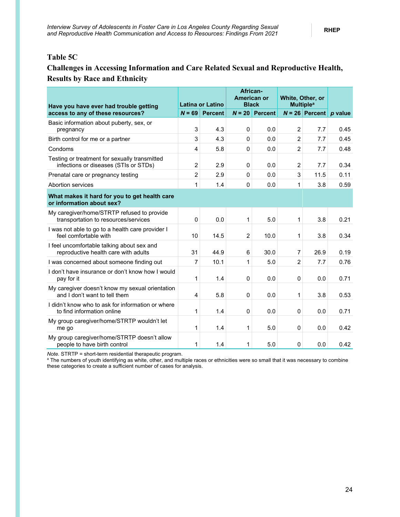### <span id="page-29-0"></span>**Table 5C**

### **Challenges in Accessing Information and Care Related Sexual and Reproductive Health, Results by Race and Ethnicity**

| Have you have ever had trouble getting                                                 | <b>Latina or Latino</b> |                | African-<br>American or<br><b>Black</b> |                | White, Other, or<br><b>Multiple<sup>a</sup></b> |                                 |      |
|----------------------------------------------------------------------------------------|-------------------------|----------------|-----------------------------------------|----------------|-------------------------------------------------|---------------------------------|------|
| access to any of these resources?                                                      | $N = 69$                | <b>Percent</b> | $N = 20$                                | <b>Percent</b> |                                                 | $N = 26$ Percent <i>p</i> value |      |
| Basic information about puberty, sex, or<br>pregnancy                                  | 3                       | 4.3            | 0                                       | 0.0            | $\overline{2}$                                  | 7.7                             | 0.45 |
| Birth control for me or a partner                                                      | 3                       | 4.3            | $\Omega$                                | 0.0            | 2                                               | 7.7                             | 0.45 |
| Condoms                                                                                | 4                       | 5.8            | $\Omega$                                | 0.0            | $\overline{2}$                                  | 7.7                             | 0.48 |
| Testing or treatment for sexually transmitted<br>infections or diseases (STIs or STDs) | $\overline{c}$          | 2.9            | $\Omega$                                | 0.0            | 2                                               | 7.7                             | 0.34 |
| Prenatal care or pregnancy testing                                                     | $\overline{2}$          | 2.9            | $\Omega$                                | 0.0            | 3                                               | 11.5                            | 0.11 |
| Abortion services                                                                      | 1                       | 1.4            | $\mathbf 0$                             | 0.0            | 1                                               | 3.8                             | 0.59 |
| What makes it hard for you to get health care<br>or information about sex?             |                         |                |                                         |                |                                                 |                                 |      |
| My caregiver/home/STRTP refused to provide<br>transportation to resources/services     | $\Omega$                | 0.0            | 1                                       | 5.0            | 1                                               | 3.8                             | 0.21 |
| I was not able to go to a health care provider I<br>feel comfortable with              | 10                      | 14.5           | $\overline{2}$                          | 10.0           | 1                                               | 3.8                             | 0.34 |
| I feel uncomfortable talking about sex and<br>reproductive health care with adults     | 31                      | 44.9           | 6                                       | 30.0           | 7                                               | 26.9                            | 0.19 |
| I was concerned about someone finding out                                              | 7                       | 10.1           | 1                                       | 5.0            | $\overline{2}$                                  | 7.7                             | 0.76 |
| I don't have insurance or don't know how I would<br>pay for it                         | 1                       | 1.4            | 0                                       | 0.0            | 0                                               | 0.0                             | 0.71 |
| My caregiver doesn't know my sexual orientation<br>and I don't want to tell them       | $\overline{4}$          | 5.8            | 0                                       | 0.0            | 1                                               | 3.8                             | 0.53 |
| I didn't know who to ask for information or where<br>to find information online        | 1                       | 1.4            | $\Omega$                                | 0.0            | $\mathbf{0}$                                    | 0.0                             | 0.71 |
| My group caregiver/home/STRTP wouldn't let<br>me go                                    | 1                       | 1.4            | 1                                       | 5.0            | 0                                               | 0.0                             | 0.42 |
| My group caregiver/home/STRTP doesn't allow<br>people to have birth control            | 1                       | 1.4            | 1                                       | 5.0            | $\mathbf{0}$                                    | 0.0                             | 0.42 |

*Note.* STRTP = short-term residential therapeutic program.<br>ª The numbers of youth identifying as white, other, and multiple races or ethnicities were so small that it was necessary to combine these categories to create a sufficient number of cases for analysis.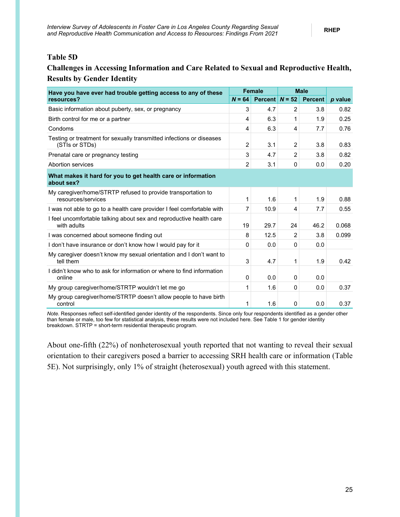#### <span id="page-30-0"></span>**Table 5D**

### **Challenges in Accessing Information and Care Related to Sexual and Reproductive Health, Results by Gender Identity**

| Have you have ever had trouble getting access to any of these                          |          | <b>Female</b>    | <b>Male</b>    |                |         |
|----------------------------------------------------------------------------------------|----------|------------------|----------------|----------------|---------|
| resources?                                                                             | $N = 64$ | Percent $N = 52$ |                | <b>Percent</b> | p value |
| Basic information about puberty, sex, or pregnancy                                     | 3        | 4.7              | 2              | 3.8            | 0.82    |
| Birth control for me or a partner                                                      | 4        | 6.3              | 1              | 1.9            | 0.25    |
| Condoms                                                                                | 4        | 6.3              | 4              | 7.7            | 0.76    |
| Testing or treatment for sexually transmitted infections or diseases<br>(STIs or STDs) | 2        | 3.1              | $\overline{2}$ | 3.8            | 0.83    |
| Prenatal care or pregnancy testing                                                     | 3        | 4.7              | $\overline{2}$ | 3.8            | 0.82    |
| Abortion services                                                                      | 2        | 3.1              | 0              | 0.0            | 0.20    |
| What makes it hard for you to get health care or information<br>about sex?             |          |                  |                |                |         |
| My caregiver/home/STRTP refused to provide transportation to<br>resources/services     | 1        | 1.6              | 1              | 1.9            | 0.88    |
| I was not able to go to a health care provider I feel comfortable with                 | 7        | 10.9             | 4              | 7.7            | 0.55    |
| I feel uncomfortable talking about sex and reproductive health care<br>with adults     | 19       | 29.7             | 24             | 46.2           | 0.068   |
| I was concerned about someone finding out                                              | 8        | 12.5             | $\overline{2}$ | 3.8            | 0.099   |
| I don't have insurance or don't know how I would pay for it                            | 0        | 0.0              | 0              | 0.0            |         |
| My caregiver doesn't know my sexual orientation and I don't want to<br>tell them       | 3        | 4.7              | 1              | 1.9            | 0.42    |
| I didn't know who to ask for information or where to find information<br>online        | 0        | 0.0              | $\Omega$       | 0.0            |         |
| My group caregiver/home/STRTP wouldn't let me go                                       | 1        | 1.6              | 0              | 0.0            | 0.37    |
| My group caregiver/home/STRTP doesn't allow people to have birth<br>control            | 1        | 1.6              | 0              | 0.0            | 0.37    |

*Note.* Responses reflect self-identified gender identity of the respondents. Since only four respondents identified as a gender other than female or male, too few for statistical analysis, these results were not included here. See Table 1 for gender identity breakdown. STRTP = short-term residential therapeutic program.

About one-fifth (22%) of nonheterosexual youth reported that not wanting to reveal their sexual orientation to their caregivers posed a barrier to accessing SRH health care or information (Table 5E). Not surprisingly, only 1% of straight (heterosexual) youth agreed with this statement.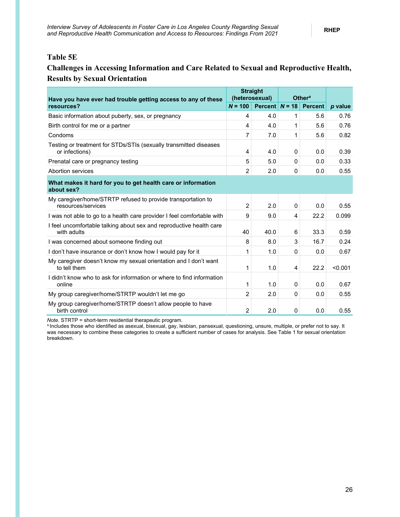#### <span id="page-31-0"></span>**Table 5E**

### **Challenges in Accessing Information and Care Related to Sexual and Reproductive Health, Results by Sexual Orientation**

| Have you have ever had trouble getting access to any of these                       |                | <b>Straight</b><br>(heterosexual) | <b>Othera</b> |                |         |
|-------------------------------------------------------------------------------------|----------------|-----------------------------------|---------------|----------------|---------|
| resources?                                                                          | $N = 100$      | <b>Percent</b>                    | $N = 18$      | <b>Percent</b> | p value |
| Basic information about puberty, sex, or pregnancy                                  | 4              | 4.0                               | 1             | 5.6            | 0.76    |
| Birth control for me or a partner                                                   | 4              | 4.0                               | 1             | 5.6            | 0.76    |
| Condoms                                                                             | 7              | 7.0                               | 1             | 5.6            | 0.82    |
| Testing or treatment for STDs/STIs (sexually transmitted diseases<br>or infections) | 4              | 4.0                               | $\mathbf{0}$  | 0.0            | 0.39    |
| Prenatal care or pregnancy testing                                                  | 5              | 5.0                               | $\mathbf{0}$  | 0.0            | 0.33    |
| Abortion services                                                                   | $\overline{2}$ | 2.0                               | 0             | 0.0            | 0.55    |
| What makes it hard for you to get health care or information<br>about sex?          |                |                                   |               |                |         |
| My caregiver/home/STRTP refused to provide transportation to<br>resources/services  | $\overline{2}$ | 2.0                               | $\mathbf{0}$  | 0.0            | 0.55    |
| I was not able to go to a health care provider I feel comfortable with              | 9              | 9.0                               | 4             | 22.2           | 0.099   |
| I feel uncomfortable talking about sex and reproductive health care<br>with adults  | 40             | 40.0                              | 6             | 33.3           | 0.59    |
| I was concerned about someone finding out                                           | 8              | 8.0                               | 3             | 16.7           | 0.24    |
| I don't have insurance or don't know how I would pay for it                         | 1              | 1.0                               | $\Omega$      | 0.0            | 0.67    |
| My caregiver doesn't know my sexual orientation and I don't want<br>to tell them    | 1              | 1.0                               | 4             | 22.2           | < 0.001 |
| I didn't know who to ask for information or where to find information<br>online     | 1              | 1.0                               | $\mathbf{0}$  | 0.0            | 0.67    |
| My group caregiver/home/STRTP wouldn't let me go                                    | $\overline{2}$ | 2.0                               | $\mathbf{0}$  | 0.0            | 0.55    |
| My group caregiver/home/STRTP doesn't allow people to have<br>birth control         | 2              | 2.0                               | $\mathbf{0}$  | 0.0            | 0.55    |

*Note.* STRTP = short-term residential therapeutic program.<br><sup>a</sup> Includes those who identified as asexual, bisexual, gay, lesbian, pansexual, questioning, unsure, multiple, or prefer not to say. It was necessary to combine these categories to create a sufficient number of cases for analysis. See Table 1 for sexual orientation breakdown.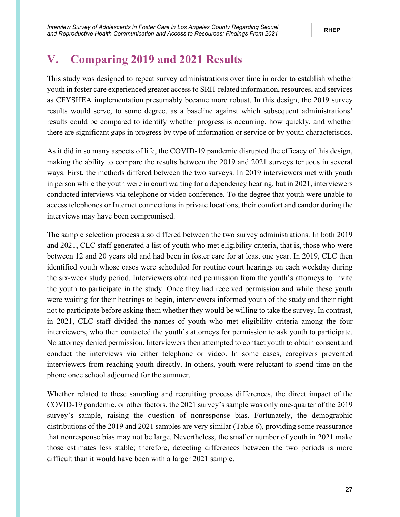## <span id="page-32-0"></span>**V. Comparing 2019 and 2021 Results**

This study was designed to repeat survey administrations over time in order to establish whether youth in foster care experienced greater access to SRH-related information, resources, and services as CFYSHEA implementation presumably became more robust. In this design, the 2019 survey results would serve, to some degree, as a baseline against which subsequent administrations' results could be compared to identify whether progress is occurring, how quickly, and whether there are significant gaps in progress by type of information or service or by youth characteristics.

As it did in so many aspects of life, the COVID-19 pandemic disrupted the efficacy of this design, making the ability to compare the results between the 2019 and 2021 surveys tenuous in several ways. First, the methods differed between the two surveys. In 2019 interviewers met with youth in person while the youth were in court waiting for a dependency hearing, but in 2021, interviewers conducted interviews via telephone or video conference. To the degree that youth were unable to access telephones or Internet connections in private locations, their comfort and candor during the interviews may have been compromised.

The sample selection process also differed between the two survey administrations. In both 2019 and 2021, CLC staff generated a list of youth who met eligibility criteria, that is, those who were between 12 and 20 years old and had been in foster care for at least one year. In 2019, CLC then identified youth whose cases were scheduled for routine court hearings on each weekday during the six-week study period. Interviewers obtained permission from the youth's attorneys to invite the youth to participate in the study. Once they had received permission and while these youth were waiting for their hearings to begin, interviewers informed youth of the study and their right not to participate before asking them whether they would be willing to take the survey. In contrast, in 2021, CLC staff divided the names of youth who met eligibility criteria among the four interviewers, who then contacted the youth's attorneys for permission to ask youth to participate. No attorney denied permission. Interviewers then attempted to contact youth to obtain consent and conduct the interviews via either telephone or video. In some cases, caregivers prevented interviewers from reaching youth directly. In others, youth were reluctant to spend time on the phone once school adjourned for the summer.

Whether related to these sampling and recruiting process differences, the direct impact of the COVID-19 pandemic, or other factors, the 2021 survey's sample was only one-quarter of the 2019 survey's sample, raising the question of nonresponse bias. Fortunately, the demographic distributions of the 2019 and 2021 samples are very similar (Table 6), providing some reassurance that nonresponse bias may not be large. Nevertheless, the smaller number of youth in 2021 make those estimates less stable; therefore, detecting differences between the two periods is more difficult than it would have been with a larger 2021 sample.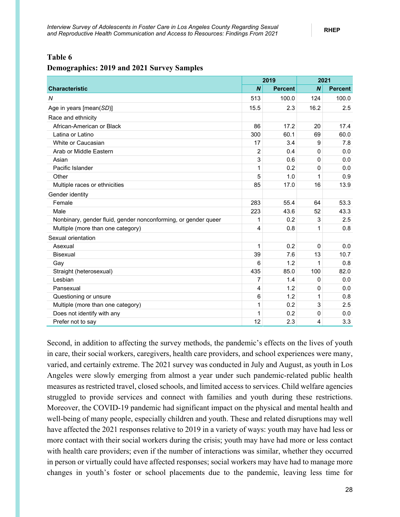#### <span id="page-33-0"></span>**Table 6**

#### **Demographics: 2019 and 2021 Survey Samples**

|                                                                |                  | 2019           |                  | 2021           |  |
|----------------------------------------------------------------|------------------|----------------|------------------|----------------|--|
| <b>Characteristic</b>                                          | $\boldsymbol{N}$ | <b>Percent</b> | $\boldsymbol{N}$ | <b>Percent</b> |  |
| N                                                              | 513              | 100.0          | 124              | 100.0          |  |
| Age in years [mean(SD)]                                        | 15.5             | 2.3            | 16.2             | 2.5            |  |
| Race and ethnicity                                             |                  |                |                  |                |  |
| African-American or Black                                      | 86               | 17.2           | 20               | 17.4           |  |
| Latina or Latino                                               | 300              | 60.1           | 69               | 60.0           |  |
| White or Caucasian                                             | 17               | 3.4            | 9                | 7.8            |  |
| Arab or Middle Eastern                                         | $\overline{2}$   | 0.4            | $\Omega$         | 0.0            |  |
| Asian                                                          | 3                | 0.6            | $\Omega$         | 0.0            |  |
| Pacific Islander                                               | 1                | 0.2            | 0                | 0.0            |  |
| Other                                                          | 5                | 1.0            | 1                | 0.9            |  |
| Multiple races or ethnicities                                  | 85               | 17.0           | 16               | 13.9           |  |
| Gender identity                                                |                  |                |                  |                |  |
| Female                                                         | 283              | 55.4           | 64               | 53.3           |  |
| Male                                                           | 223              | 43.6           | 52               | 43.3           |  |
| Nonbinary, gender fluid, gender nonconforming, or gender queer | 1                | 0.2            | 3                | 2.5            |  |
| Multiple (more than one category)                              | 4                | 0.8            | 1                | 0.8            |  |
| Sexual orientation                                             |                  |                |                  |                |  |
| Asexual                                                        | $\mathbf{1}$     | 0.2            | $\mathbf 0$      | 0.0            |  |
| <b>Bisexual</b>                                                | 39               | 7.6            | 13               | 10.7           |  |
| Gay                                                            | 6                | 1.2            | 1                | 0.8            |  |
| Straight (heterosexual)                                        | 435              | 85.0           | 100              | 82.0           |  |
| Lesbian                                                        | 7                | 1.4            | 0                | 0.0            |  |
| Pansexual                                                      | 4                | 1.2            | 0                | 0.0            |  |
| Questioning or unsure                                          | 6                | 1.2            | 1                | 0.8            |  |
| Multiple (more than one category)                              | 1                | 0.2            | 3                | 2.5            |  |
| Does not identify with any                                     | 1                | 0.2            | $\Omega$         | 0.0            |  |
| Prefer not to say                                              | 12               | 2.3            | 4                | 3.3            |  |

Second, in addition to affecting the survey methods, the pandemic's effects on the lives of youth in care, their social workers, caregivers, health care providers, and school experiences were many, varied, and certainly extreme. The 2021 survey was conducted in July and August, as youth in Los Angeles were slowly emerging from almost a year under such pandemic-related public health measures as restricted travel, closed schools, and limited access to services. Child welfare agencies struggled to provide services and connect with families and youth during these restrictions. Moreover, the COVID-19 pandemic had significant impact on the physical and mental health and well-being of many people, especially children and youth. These and related disruptions may well have affected the 2021 responses relative to 2019 in a variety of ways: youth may have had less or more contact with their social workers during the crisis; youth may have had more or less contact with health care providers; even if the number of interactions was similar, whether they occurred in person or virtually could have affected responses; social workers may have had to manage more changes in youth's foster or school placements due to the pandemic, leaving less time for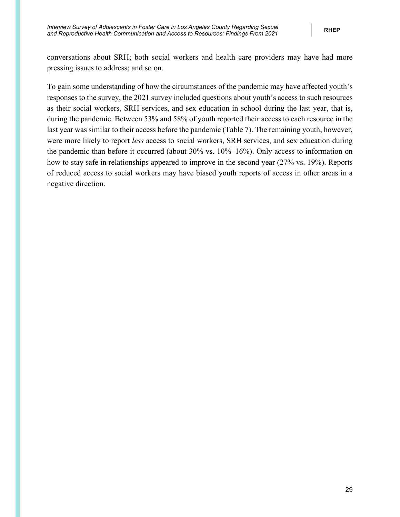conversations about SRH; both social workers and health care providers may have had more pressing issues to address; and so on.

To gain some understanding of how the circumstances of the pandemic may have affected youth's responses to the survey, the 2021 survey included questions about youth's access to such resources as their social workers, SRH services, and sex education in school during the last year, that is, during the pandemic. Between 53% and 58% of youth reported their access to each resource in the last year was similar to their access before the pandemic (Table 7). The remaining youth, however, were more likely to report *less* access to social workers, SRH services, and sex education during the pandemic than before it occurred (about 30% vs. 10%–16%). Only access to information on how to stay safe in relationships appeared to improve in the second year (27% vs. 19%). Reports of reduced access to social workers may have biased youth reports of access in other areas in a negative direction.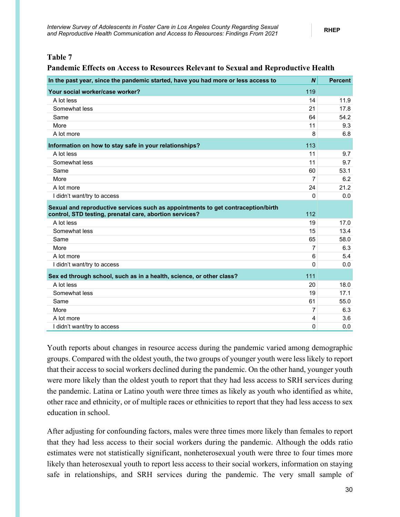#### <span id="page-35-0"></span>**Table 7**

#### **Pandemic Effects on Access to Resources Relevant to Sexual and Reproductive Health**

| In the past year, since the pandemic started, have you had more or less access to                                                           | $\boldsymbol{N}$ | <b>Percent</b> |
|---------------------------------------------------------------------------------------------------------------------------------------------|------------------|----------------|
| Your social worker/case worker?                                                                                                             | 119              |                |
| A lot less                                                                                                                                  | 14               | 11.9           |
| Somewhat less                                                                                                                               | 21               | 17.8           |
| Same                                                                                                                                        | 64               | 54.2           |
| More                                                                                                                                        | 11               | 9.3            |
| A lot more                                                                                                                                  | 8                | 6.8            |
| Information on how to stay safe in your relationships?                                                                                      | 113              |                |
| A lot less                                                                                                                                  | 11               | 9.7            |
| Somewhat less                                                                                                                               | 11               | 9.7            |
| Same                                                                                                                                        | 60               | 53.1           |
| More                                                                                                                                        | 7                | 6.2            |
| A lot more                                                                                                                                  | 24               | 21.2           |
| I didn't want/try to access                                                                                                                 | 0                | 0.0            |
| Sexual and reproductive services such as appointments to get contraception/birth<br>control, STD testing, prenatal care, abortion services? | 112              |                |
| A lot less                                                                                                                                  | 19               | 17.0           |
| Somewhat less                                                                                                                               | 15               | 13.4           |
| Same                                                                                                                                        | 65               | 58.0           |
| More                                                                                                                                        | $\overline{7}$   | 6.3            |
| A lot more                                                                                                                                  | 6                | 5.4            |
| I didn't want/try to access                                                                                                                 | $\overline{0}$   | 0.0            |
| Sex ed through school, such as in a health, science, or other class?                                                                        | 111              |                |
| A lot less                                                                                                                                  | 20               | 18.0           |
| Somewhat less                                                                                                                               | 19               | 17.1           |
| Same                                                                                                                                        | 61               | 55.0           |
| More                                                                                                                                        | 7                | 6.3            |
| A lot more                                                                                                                                  | 4                | 3.6            |
| I didn't want/try to access                                                                                                                 | 0                | 0.0            |

Youth reports about changes in resource access during the pandemic varied among demographic groups. Compared with the oldest youth, the two groups of younger youth were less likely to report that their access to social workers declined during the pandemic. On the other hand, younger youth were more likely than the oldest youth to report that they had less access to SRH services during the pandemic. Latina or Latino youth were three times as likely as youth who identified as white, other race and ethnicity, or of multiple races or ethnicities to report that they had less access to sex education in school.

After adjusting for confounding factors, males were three times more likely than females to report that they had less access to their social workers during the pandemic. Although the odds ratio estimates were not statistically significant, nonheterosexual youth were three to four times more likely than heterosexual youth to report less access to their social workers, information on staying safe in relationships, and SRH services during the pandemic. The very small sample of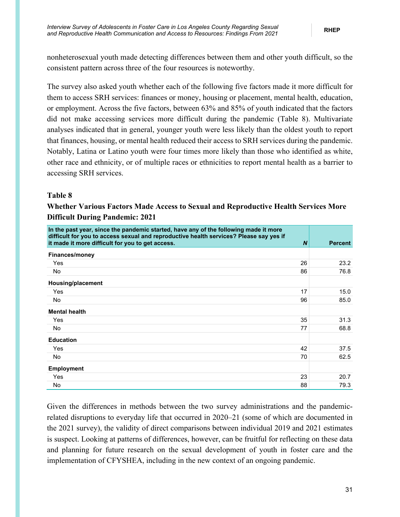nonheterosexual youth made detecting differences between them and other youth difficult, so the consistent pattern across three of the four resources is noteworthy.

The survey also asked youth whether each of the following five factors made it more difficult for them to access SRH services: finances or money, housing or placement, mental health, education, or employment. Across the five factors, between 63% and 85% of youth indicated that the factors did not make accessing services more difficult during the pandemic (Table 8). Multivariate analyses indicated that in general, younger youth were less likely than the oldest youth to report that finances, housing, or mental health reduced their access to SRH services during the pandemic. Notably, Latina or Latino youth were four times more likely than those who identified as white, other race and ethnicity, or of multiple races or ethnicities to report mental health as a barrier to accessing SRH services.

### <span id="page-36-0"></span>**Table 8**

### **Whether Various Factors Made Access to Sexual and Reproductive Health Services More Difficult During Pandemic: 2021**

| In the past year, since the pandemic started, have any of the following made it more<br>difficult for you to access sexual and reproductive health services? Please say yes if |              |                |
|--------------------------------------------------------------------------------------------------------------------------------------------------------------------------------|--------------|----------------|
| it made it more difficult for you to get access.                                                                                                                               | <sub>N</sub> | <b>Percent</b> |
| <b>Finances/money</b>                                                                                                                                                          |              |                |
| Yes                                                                                                                                                                            | 26           | 23.2           |
| No                                                                                                                                                                             | 86           | 76.8           |
| Housing/placement                                                                                                                                                              |              |                |
| Yes                                                                                                                                                                            | 17           | 15.0           |
| <b>No</b>                                                                                                                                                                      | 96           | 85.0           |
| <b>Mental health</b>                                                                                                                                                           |              |                |
| Yes                                                                                                                                                                            | 35           | 31.3           |
| <b>No</b>                                                                                                                                                                      | 77           | 68.8           |
| <b>Education</b>                                                                                                                                                               |              |                |
| Yes                                                                                                                                                                            | 42           | 37.5           |
| No                                                                                                                                                                             | 70           | 62.5           |
| <b>Employment</b>                                                                                                                                                              |              |                |
| Yes                                                                                                                                                                            | 23           | 20.7           |
| No                                                                                                                                                                             | 88           | 79.3           |

Given the differences in methods between the two survey administrations and the pandemicrelated disruptions to everyday life that occurred in 2020–21 (some of which are documented in the 2021 survey), the validity of direct comparisons between individual 2019 and 2021 estimates is suspect. Looking at patterns of differences, however, can be fruitful for reflecting on these data and planning for future research on the sexual development of youth in foster care and the implementation of CFYSHEA, including in the new context of an ongoing pandemic.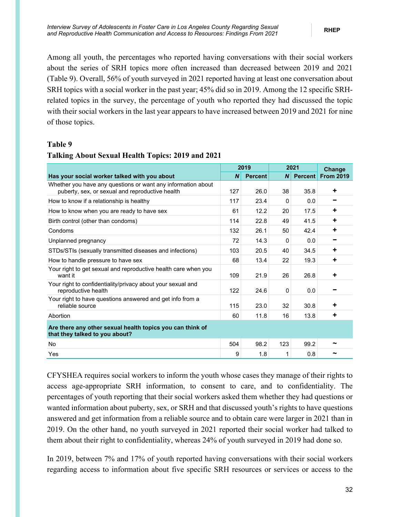Among all youth, the percentages who reported having conversations with their social workers about the series of SRH topics more often increased than decreased between 2019 and 2021 (Table 9). Overall, 56% of youth surveyed in 2021 reported having at least one conversation about SRH topics with a social worker in the past year; 45% did so in 2019. Among the 12 specific SRHrelated topics in the survey, the percentage of youth who reported they had discussed the topic with their social workers in the last year appears to have increased between 2019 and 2021 for nine of those topics.

#### <span id="page-37-0"></span>**Table 9**

|                                                                                                                 | 2019             |                | 2021           |                | Change           |
|-----------------------------------------------------------------------------------------------------------------|------------------|----------------|----------------|----------------|------------------|
| Has your social worker talked with you about                                                                    | $\boldsymbol{N}$ | <b>Percent</b> | N <sub>1</sub> | <b>Percent</b> | <b>From 2019</b> |
| Whether you have any questions or want any information about<br>puberty, sex, or sexual and reproductive health | 127              | 26.0           | 38             | 35.8           | ٠                |
| How to know if a relationship is healthy                                                                        | 117              | 23.4           | 0              | 0.0            |                  |
| How to know when you are ready to have sex                                                                      | 61               | 12.2           | 20             | 17.5           | ÷                |
| Birth control (other than condoms)                                                                              | 114              | 22.8           | 49             | 41.5           | ٠                |
| Condoms                                                                                                         | 132              | 26.1           | 50             | 42.4           | ÷                |
| Unplanned pregnancy                                                                                             | 72               | 14.3           | $\Omega$       | 0.0            |                  |
| STDs/STIs (sexually transmitted diseases and infections)                                                        | 103              | 20.5           | 40             | 34.5           | ÷                |
| How to handle pressure to have sex                                                                              | 68               | 13.4           | 22             | 19.3           | ÷                |
| Your right to get sexual and reproductive health care when you<br>want it                                       | 109              | 21.9           | 26             | 26.8           | ٠                |
| Your right to confidentiality/privacy about your sexual and<br>reproductive health                              | 122              | 24.6           | 0              | 0.0            |                  |
| Your right to have questions answered and get info from a<br>reliable source                                    | 115              | 23.0           | 32             | 30.8           | ٠                |
| Abortion                                                                                                        |                  | 11.8           | 16             | 13.8           | ÷                |
| Are there any other sexual health topics you can think of<br>that they talked to you about?                     |                  |                |                |                |                  |
| No                                                                                                              | 504              | 98.2           | 123            | 99.2           |                  |
| Yes                                                                                                             | 9                | 1.8            | 1              | 0.8            | ∼                |

### **Talking About Sexual Health Topics: 2019 and 2021**

CFYSHEA requires social workers to inform the youth whose cases they manage of their rights to access age-appropriate SRH information, to consent to care, and to confidentiality. The percentages of youth reporting that their social workers asked them whether they had questions or wanted information about puberty, sex, or SRH and that discussed youth's rights to have questions answered and get information from a reliable source and to obtain care were larger in 2021 than in 2019. On the other hand, no youth surveyed in 2021 reported their social worker had talked to them about their right to confidentiality, whereas 24% of youth surveyed in 2019 had done so.

In 2019, between 7% and 17% of youth reported having conversations with their social workers regarding access to information about five specific SRH resources or services or access to the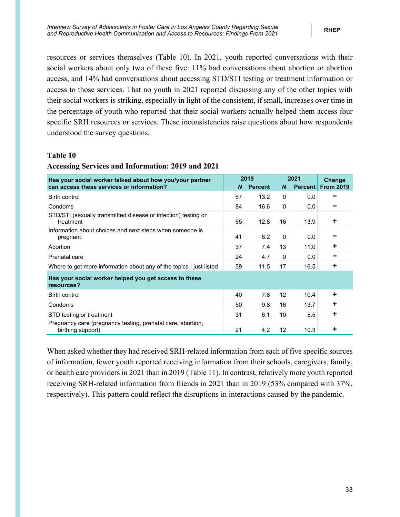resources or services themselves (Table 10). In 2021, youth reported conversations with their social workers about only two of these five: 11% had conversations about abortion or abortion access, and 14% had conversations about accessing STD/STI testing or treatment information or access to those services. That no youth in 2021 reported discussing any of the other topics with their social workers is striking, especially in light of the consistent, if small, increases over time in the percentage of youth who reported that their social workers actually helped them access four specific SRH resources or services. These inconsistencies raise questions about how respondents understood the survey questions.

#### <span id="page-38-0"></span>**Table 10**

| <b>Accessing Services and Information: 2019 and 2021</b> |  |
|----------------------------------------------------------|--|
|----------------------------------------------------------|--|

| Has your social worker talked about how you/your partner                         |    | 2019           |                  | 2021           | Change           |  |
|----------------------------------------------------------------------------------|----|----------------|------------------|----------------|------------------|--|
| can access these services or information?                                        | N  | <b>Percent</b> | $\boldsymbol{N}$ | <b>Percent</b> | <b>From 2019</b> |  |
| Birth control                                                                    | 67 | 13.2           | 0                | 0.0            |                  |  |
| Condoms                                                                          | 84 | 16.6           | 0                | 0.0            |                  |  |
| STD/STI (sexually transmitted disease or infection) testing or<br>treatment      | 65 | 12.8           | 16               | 13.9           | ٠                |  |
| Information about choices and next steps when someone is<br>pregnant             | 41 | 8.2            | 0                | 0.0            |                  |  |
| Abortion                                                                         | 37 | 7.4            | 13               | 11.0           | ÷                |  |
| Prenatal care                                                                    | 24 | 4.7            | 0                | 0.0            |                  |  |
| Where to get more information about any of the topics I just listed              | 59 | 11.5           | 17               | 16.5           | ÷                |  |
| Has your social worker helped you get access to these<br>resources?              |    |                |                  |                |                  |  |
| <b>Birth control</b>                                                             | 40 | 7.8            | 12               | 10.4           | ÷                |  |
| Condoms                                                                          |    | 9.8            | 16               | 13.7           | ٠                |  |
| STD testing or treatment                                                         | 31 | 6.1            | 10 <sup>°</sup>  | 8.5            | ÷                |  |
| Pregnancy care (pregnancy testing, prenatal care, abortion,<br>birthing support) | 21 | 4.2            | 12               | 10.3           | ٠                |  |

When asked whether they had received SRH-related information from each of five specific sources of information, fewer youth reported receiving information from their schools, caregivers, family, or health care providers in 2021 than in 2019 (Table 11). In contrast, relatively more youth reported receiving SRH-related information from friends in 2021 than in 2019 (53% compared with 37%, respectively). This pattern could reflect the disruptions in interactions caused by the pandemic.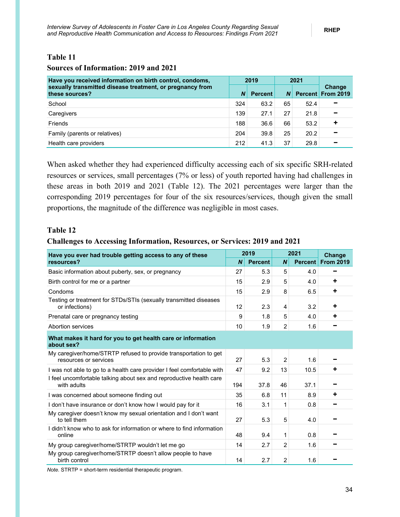### <span id="page-39-0"></span>**Table 11**

#### **Sources of Information: 2019 and 2021**

| Have you received information on birth control, condoms,                    |          | 2019           |          | 2021 |                             |  |
|-----------------------------------------------------------------------------|----------|----------------|----------|------|-----------------------------|--|
| sexually transmitted disease treatment, or pregnancy from<br>these sources? | <b>N</b> | <b>Percent</b> | <b>N</b> |      | Change<br>Percent From 2019 |  |
| School                                                                      | 324      | 63.2           | 65       | 52.4 | -                           |  |
| Caregivers                                                                  | 139      | 27.1           | 27       | 21.8 | -                           |  |
| Friends                                                                     | 188      | 36.6           | 66       | 53.2 | ÷                           |  |
| Family (parents or relatives)                                               | 204      | 39.8           | 25       | 20.2 | -                           |  |
| Health care providers                                                       | 212      | 41.3           | 37       | 29.8 |                             |  |

When asked whether they had experienced difficulty accessing each of six specific SRH-related resources or services, small percentages (7% or less) of youth reported having had challenges in these areas in both 2019 and 2021 (Table 12). The 2021 percentages were larger than the corresponding 2019 percentages for four of the six resources/services, though given the small proportions, the magnitude of the difference was negligible in most cases.

### <span id="page-39-1"></span>**Table 12**

#### **Challenges to Accessing Information, Resources, or Services: 2019 and 2021**

| Have you ever had trouble getting access to any of these                                  |                  | 2019           |                  | 2021           | Change           |
|-------------------------------------------------------------------------------------------|------------------|----------------|------------------|----------------|------------------|
| resources?                                                                                | $\boldsymbol{N}$ | <b>Percent</b> | $\boldsymbol{N}$ | <b>Percent</b> | <b>From 2019</b> |
| Basic information about puberty, sex, or pregnancy                                        | 27               | 5.3            | 5                | 4.0            |                  |
| Birth control for me or a partner                                                         | 15               | 2.9            | 5                | 4.0            | ٠                |
| Condoms                                                                                   | 15               | 2.9            | 8                | 6.5            | ٠                |
| Testing or treatment for STDs/STIs (sexually transmitted diseases<br>or infections)       | 12               | 2.3            | 4                | 3.2            | ÷                |
| Prenatal care or pregnancy testing                                                        | 9                | 1.8            | 5                | 4.0            | ٠                |
| Abortion services                                                                         | 10               | 1.9            | $\overline{2}$   | 1.6            |                  |
| What makes it hard for you to get health care or information<br>about sex?                |                  |                |                  |                |                  |
| My caregiver/home/STRTP refused to provide transportation to get<br>resources or services | 27               | 5.3            | $\overline{2}$   | 1.6            |                  |
| I was not able to go to a health care provider I feel comfortable with                    | 47               | 9.2            | 13               | 10.5           | ٠                |
| I feel uncomfortable talking about sex and reproductive health care<br>with adults        | 194              | 37.8           | 46               | 37.1           |                  |
| I was concerned about someone finding out                                                 | 35               | 6.8            | 11               | 8.9            | ٠                |
| I don't have insurance or don't know how I would pay for it                               | 16               | 3.1            | 1                | 0.8            |                  |
| My caregiver doesn't know my sexual orientation and I don't want<br>to tell them          | 27               | 5.3            | 5                | 4.0            |                  |
| I didn't know who to ask for information or where to find information<br>online           | 48               | 9.4            | 1                | 0.8            |                  |
| My group caregiver/home/STRTP wouldn't let me go                                          | 14               | 2.7            | $\overline{2}$   | 1.6            |                  |
| My group caregiver/home/STRTP doesn't allow people to have<br>birth control               | 14               | 2.7            | $\overline{2}$   | 1.6            |                  |

*Note.* STRTP = short-term residential therapeutic program.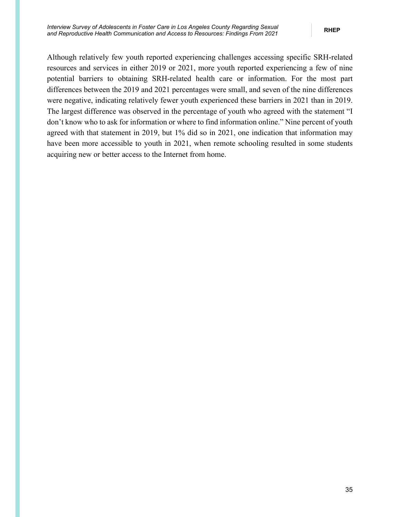Although relatively few youth reported experiencing challenges accessing specific SRH-related resources and services in either 2019 or 2021, more youth reported experiencing a few of nine potential barriers to obtaining SRH-related health care or information. For the most part differences between the 2019 and 2021 percentages were small, and seven of the nine differences were negative, indicating relatively fewer youth experienced these barriers in 2021 than in 2019. The largest difference was observed in the percentage of youth who agreed with the statement "I don't know who to ask for information or where to find information online." Nine percent of youth agreed with that statement in 2019, but 1% did so in 2021, one indication that information may have been more accessible to youth in 2021, when remote schooling resulted in some students acquiring new or better access to the Internet from home.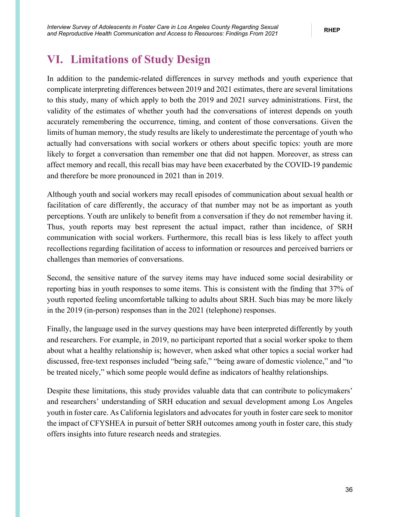## <span id="page-41-0"></span>**VI. Limitations of Study Design**

In addition to the pandemic-related differences in survey methods and youth experience that complicate interpreting differences between 2019 and 2021 estimates, there are several limitations to this study, many of which apply to both the 2019 and 2021 survey administrations. First, the validity of the estimates of whether youth had the conversations of interest depends on youth accurately remembering the occurrence, timing, and content of those conversations. Given the limits of human memory, the study results are likely to underestimate the percentage of youth who actually had conversations with social workers or others about specific topics: youth are more likely to forget a conversation than remember one that did not happen. Moreover, as stress can affect memory and recall, this recall bias may have been exacerbated by the COVID-19 pandemic and therefore be more pronounced in 2021 than in 2019.

Although youth and social workers may recall episodes of communication about sexual health or facilitation of care differently, the accuracy of that number may not be as important as youth perceptions. Youth are unlikely to benefit from a conversation if they do not remember having it. Thus, youth reports may best represent the actual impact, rather than incidence, of SRH communication with social workers. Furthermore, this recall bias is less likely to affect youth recollections regarding facilitation of access to information or resources and perceived barriers or challenges than memories of conversations.

Second, the sensitive nature of the survey items may have induced some social desirability or reporting bias in youth responses to some items. This is consistent with the finding that 37% of youth reported feeling uncomfortable talking to adults about SRH. Such bias may be more likely in the 2019 (in-person) responses than in the 2021 (telephone) responses.

Finally, the language used in the survey questions may have been interpreted differently by youth and researchers. For example, in 2019, no participant reported that a social worker spoke to them about what a healthy relationship is; however, when asked what other topics a social worker had discussed, free-text responses included "being safe," "being aware of domestic violence," and "to be treated nicely," which some people would define as indicators of healthy relationships.

Despite these limitations, this study provides valuable data that can contribute to policymakers' and researchers' understanding of SRH education and sexual development among Los Angeles youth in foster care. As California legislators and advocates for youth in foster care seek to monitor the impact of CFYSHEA in pursuit of better SRH outcomes among youth in foster care, this study offers insights into future research needs and strategies.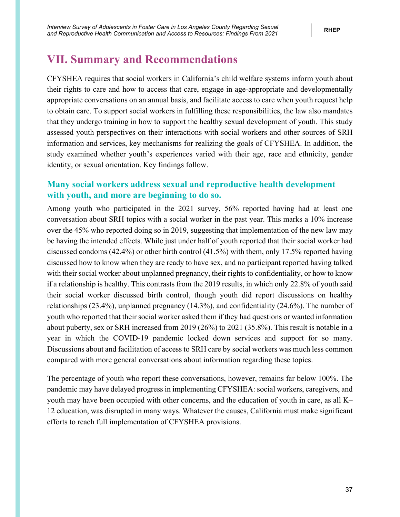## <span id="page-42-0"></span>**VII. Summary and Recommendations**

CFYSHEA requires that social workers in California's child welfare systems inform youth about their rights to care and how to access that care, engage in age-appropriate and developmentally appropriate conversations on an annual basis, and facilitate access to care when youth request help to obtain care. To support social workers in fulfilling these responsibilities, the law also mandates that they undergo training in how to support the healthy sexual development of youth. This study assessed youth perspectives on their interactions with social workers and other sources of SRH information and services, key mechanisms for realizing the goals of CFYSHEA. In addition, the study examined whether youth's experiences varied with their age, race and ethnicity, gender identity, or sexual orientation. Key findings follow.

### **Many social workers address sexual and reproductive health development with youth, and more are beginning to do so.**

Among youth who participated in the 2021 survey, 56% reported having had at least one conversation about SRH topics with a social worker in the past year. This marks a 10% increase over the 45% who reported doing so in 2019, suggesting that implementation of the new law may be having the intended effects. While just under half of youth reported that their social worker had discussed condoms (42.4%) or other birth control (41.5%) with them, only 17.5% reported having discussed how to know when they are ready to have sex, and no participant reported having talked with their social worker about unplanned pregnancy, their rights to confidentiality, or how to know if a relationship is healthy. This contrasts from the 2019 results, in which only 22.8% of youth said their social worker discussed birth control, though youth did report discussions on healthy relationships (23.4%), unplanned pregnancy (14.3%), and confidentiality (24.6%). The number of youth who reported that their social worker asked them if they had questions or wanted information about puberty, sex or SRH increased from 2019 (26%) to 2021 (35.8%). This result is notable in a year in which the COVID-19 pandemic locked down services and support for so many. Discussions about and facilitation of access to SRH care by social workers was much less common compared with more general conversations about information regarding these topics.

The percentage of youth who report these conversations, however, remains far below 100%. The pandemic may have delayed progress in implementing CFYSHEA: social workers, caregivers, and youth may have been occupied with other concerns, and the education of youth in care, as all K– 12 education, was disrupted in many ways. Whatever the causes, California must make significant efforts to reach full implementation of CFYSHEA provisions.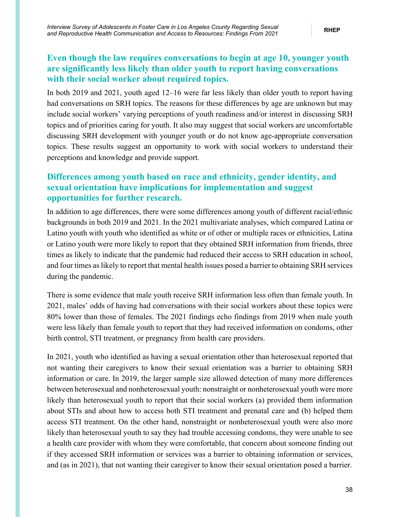### **Even though the law requires conversations to begin at age 10, younger youth are significantly less likely than older youth to report having conversations with their social worker about required topics.**

In both 2019 and 2021, youth aged 12–16 were far less likely than older youth to report having had conversations on SRH topics. The reasons for these differences by age are unknown but may include social workers' varying perceptions of youth readiness and/or interest in discussing SRH topics and of priorities caring for youth. It also may suggest that social workers are uncomfortable discussing SRH development with younger youth or do not know age-appropriate conversation topics. These results suggest an opportunity to work with social workers to understand their perceptions and knowledge and provide support.

### **Differences among youth based on race and ethnicity, gender identity, and sexual orientation have implications for implementation and suggest opportunities for further research.**

In addition to age differences, there were some differences among youth of different racial/ethnic backgrounds in both 2019 and 2021. In the 2021 multivariate analyses, which compared Latina or Latino youth with youth who identified as white or of other or multiple races or ethnicities, Latina or Latino youth were more likely to report that they obtained SRH information from friends, three times as likely to indicate that the pandemic had reduced their access to SRH education in school, and four times as likely to report that mental health issues posed a barrier to obtaining SRH services during the pandemic.

There is some evidence that male youth receive SRH information less often than female youth. In 2021, males' odds of having had conversations with their social workers about these topics were 80% lower than those of females. The 2021 findings echo findings from 2019 when male youth were less likely than female youth to report that they had received information on condoms, other birth control, STI treatment, or pregnancy from health care providers.

In 2021, youth who identified as having a sexual orientation other than heterosexual reported that not wanting their caregivers to know their sexual orientation was a barrier to obtaining SRH information or care. In 2019, the larger sample size allowed detection of many more differences between heterosexual and nonheterosexual youth: nonstraight or nonheterosexual youth were more likely than heterosexual youth to report that their social workers (a) provided them information about STIs and about how to access both STI treatment and prenatal care and (b) helped them access STI treatment. On the other hand, nonstraight or nonheterosexual youth were also more likely than heterosexual youth to say they had trouble accessing condoms, they were unable to see a health care provider with whom they were comfortable, that concern about someone finding out if they accessed SRH information or services was a barrier to obtaining information or services, and (as in 2021), that not wanting their caregiver to know their sexual orientation posed a barrier.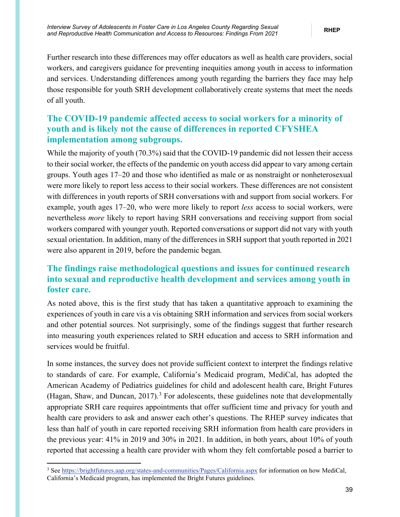Further research into these differences may offer educators as well as health care providers, social workers, and caregivers guidance for preventing inequities among youth in access to information and services. Understanding differences among youth regarding the barriers they face may help those responsible for youth SRH development collaboratively create systems that meet the needs of all youth.

## **The COVID-19 pandemic affected access to social workers for a minority of youth and is likely not the cause of differences in reported CFYSHEA implementation among subgroups.**

While the majority of youth (70.3%) said that the COVID-19 pandemic did not lessen their access to their social worker, the effects of the pandemic on youth access did appear to vary among certain groups. Youth ages 17–20 and those who identified as male or as nonstraight or nonheterosexual were more likely to report less access to their social workers. These differences are not consistent with differences in youth reports of SRH conversations with and support from social workers. For example, youth ages 17–20, who were more likely to report *less* access to social workers, were nevertheless *more* likely to report having SRH conversations and receiving support from social workers compared with younger youth. Reported conversations or support did not vary with youth sexual orientation. In addition, many of the differences in SRH support that youth reported in 2021 were also apparent in 2019, before the pandemic began.

## **The findings raise methodological questions and issues for continued research into sexual and reproductive health development and services among youth in foster care.**

As noted above, this is the first study that has taken a quantitative approach to examining the experiences of youth in care vis a vis obtaining SRH information and services from social workers and other potential sources. Not surprisingly, some of the findings suggest that further research into measuring youth experiences related to SRH education and access to SRH information and services would be fruitful.

In some instances, the survey does not provide sufficient context to interpret the findings relative to standards of care. For example, California's Medicaid program, MediCal, has adopted the American Academy of Pediatrics guidelines for child and adolescent health care, Bright Futures (Hagan, Shaw, and Duncan,  $2017$ ).<sup>[3](#page-44-0)</sup> For adolescents, these guidelines note that developmentally appropriate SRH care requires appointments that offer sufficient time and privacy for youth and health care providers to ask and answer each other's questions. The RHEP survey indicates that less than half of youth in care reported receiving SRH information from health care providers in the previous year: 41% in 2019 and 30% in 2021. In addition, in both years, about 10% of youth reported that accessing a health care provider with whom they felt comfortable posed a barrier to

<span id="page-44-0"></span><sup>&</sup>lt;sup>3</sup> Se[e https://brightfutures.aap.org/states-and-communities/Pages/California.aspx](https://brightfutures.aap.org/states-and-communities/Pages/California.aspx) for information on how MediCal, California's Medicaid program, has implemented the Bright Futures guidelines.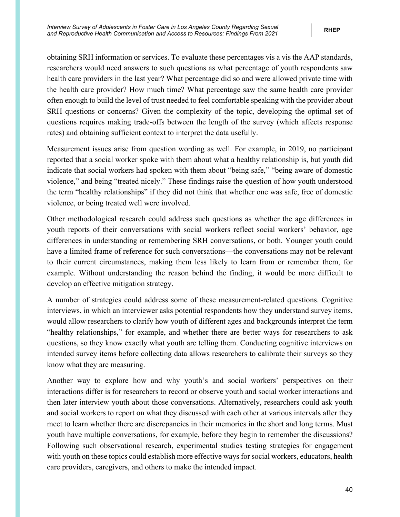obtaining SRH information or services. To evaluate these percentages vis a vis the AAP standards, researchers would need answers to such questions as what percentage of youth respondents saw health care providers in the last year? What percentage did so and were allowed private time with the health care provider? How much time? What percentage saw the same health care provider often enough to build the level of trust needed to feel comfortable speaking with the provider about SRH questions or concerns? Given the complexity of the topic, developing the optimal set of questions requires making trade-offs between the length of the survey (which affects response rates) and obtaining sufficient context to interpret the data usefully.

Measurement issues arise from question wording as well. For example, in 2019, no participant reported that a social worker spoke with them about what a healthy relationship is, but youth did indicate that social workers had spoken with them about "being safe," "being aware of domestic violence," and being "treated nicely." These findings raise the question of how youth understood the term "healthy relationships" if they did not think that whether one was safe, free of domestic violence, or being treated well were involved.

Other methodological research could address such questions as whether the age differences in youth reports of their conversations with social workers reflect social workers' behavior, age differences in understanding or remembering SRH conversations, or both. Younger youth could have a limited frame of reference for such conversations—the conversations may not be relevant to their current circumstances, making them less likely to learn from or remember them, for example. Without understanding the reason behind the finding, it would be more difficult to develop an effective mitigation strategy.

A number of strategies could address some of these measurement-related questions. Cognitive interviews, in which an interviewer asks potential respondents how they understand survey items, would allow researchers to clarify how youth of different ages and backgrounds interpret the term "healthy relationships," for example, and whether there are better ways for researchers to ask questions, so they know exactly what youth are telling them. Conducting cognitive interviews on intended survey items before collecting data allows researchers to calibrate their surveys so they know what they are measuring.

Another way to explore how and why youth's and social workers' perspectives on their interactions differ is for researchers to record or observe youth and social worker interactions and then later interview youth about those conversations. Alternatively, researchers could ask youth and social workers to report on what they discussed with each other at various intervals after they meet to learn whether there are discrepancies in their memories in the short and long terms. Must youth have multiple conversations, for example, before they begin to remember the discussions? Following such observational research, experimental studies testing strategies for engagement with youth on these topics could establish more effective ways for social workers, educators, health care providers, caregivers, and others to make the intended impact.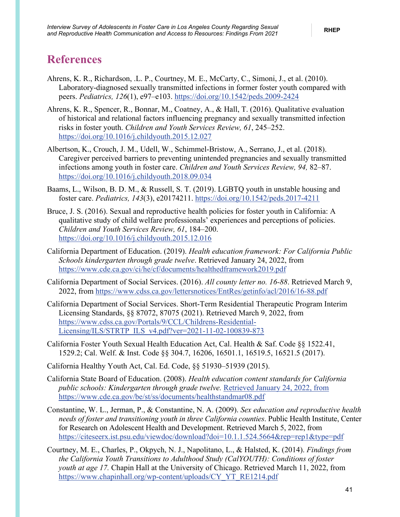## <span id="page-46-0"></span>**References**

- Ahrens, K. R., Richardson, .L. P., Courtney, M. E., McCarty, C., Simoni, J., et al. (2010). Laboratory-diagnosed sexually transmitted infections in former foster youth compared with peers. *Pediatrics, 126*(1), e97–e103.<https://doi.org/10.1542/peds.2009-2424>
- Ahrens, K. R., Spencer, R., Bonnar, M., Coatney, A., & Hall, T. (2016). Qualitative evaluation of historical and relational factors influencing pregnancy and sexually transmitted infection risks in foster youth. *Children and Youth Services Review, 61*, 245–252. <https://doi.org/10.1016/j.childyouth.2015.12.027>
- Albertson, K., Crouch, J. M., Udell, W., Schimmel-Bristow, A., Serrano, J., et al. (2018). Caregiver perceived barriers to preventing unintended pregnancies and sexually transmitted infections among youth in foster care. *Children and Youth Services Review, 94,* 82–87. <https://doi.org/10.1016/j.childyouth.2018.09.034>
- Baams, L., Wilson, B. D. M., & Russell, S. T. (2019). LGBTQ youth in unstable housing and foster care. *Pediatrics, 143*(3), e20174211.<https://doi.org/10.1542/peds.2017-4211>
- Bruce, J. S. (2016). Sexual and reproductive health policies for foster youth in California: A qualitative study of child welfare professionals' experiences and perceptions of policies. *Children and Youth Services Review, 61*, 184–200. <https://doi.org/10.1016/j.childyouth.2015.12.016>
- California Department of Education. (2019). *Health education framework: For California Public Schools kindergarten through grade twelve*. Retrieved January 24, 2022, from <https://www.cde.ca.gov/ci/he/cf/documents/healthedframework2019.pdf>
- California Department of Social Services. (2016). *All county letter no. 16-88*. Retrieved March 9, 2022, from<https://www.cdss.ca.gov/lettersnotices/EntRes/getinfo/acl/2016/16-88.pdf>
- California Department of Social Services. Short-Term Residential Therapeutic Program Interim Licensing Standards, §§ 87072, 87075 (2021). Retrieved March 9, 2022, from [https://www.cdss.ca.gov/Portals/9/CCL/Childrens-Residential-](https://www.cdss.ca.gov/Portals/9/CCL/Childrens-Residential-Licensing/ILS/STRTP_ILS_v4.pdf?ver=2021-11-02-100839-873)[Licensing/ILS/STRTP\\_ILS\\_v4.pdf?ver=2021-11-02-100839-873](https://www.cdss.ca.gov/Portals/9/CCL/Childrens-Residential-Licensing/ILS/STRTP_ILS_v4.pdf?ver=2021-11-02-100839-873)
- California Foster Youth Sexual Health Education Act, Cal. Health & Saf. Code §§ 1522.41, 1529.2; Cal. Welf. & Inst. Code §§ 304.7, 16206, 16501.1, 16519.5, 16521.5 (2017).
- California Healthy Youth Act, Cal. Ed. Code, §§ 51930–51939 (2015).
- California State Board of Education. (2008). *Health education content standards for California public schools: Kindergarten through grade twelve.* Retrieved January 24, 2022, from https://www.cde.ca.gov/be/st/ss/documents/healthstandmar08.pdf
- Constantine, W. L., Jerman, P., & Constantine, N. A. (2009). *Sex education and reproductive health needs of foster and transitioning youth in three California counties*. Public Health Institute, Center for Research on Adolescent Health and Development. Retrieved March 5, 2022, from <https://citeseerx.ist.psu.edu/viewdoc/download?doi=10.1.1.524.5664&rep=rep1&type=pdf>
- Courtney, M. E., Charles, P., Okpych, N. J., Napolitano, L., & Halsted, K. (2014). *Findings from the California Youth Transitions to Adulthood Study (CalYOUTH): Conditions of foster youth at age 17.* Chapin Hall at the University of Chicago. Retrieved March 11, 2022, from [https://www.chapinhall.org/wp-content/uploads/CY\\_YT\\_RE1214.pdf](https://www.chapinhall.org/wp-content/uploads/CY_YT_RE1214.pdf)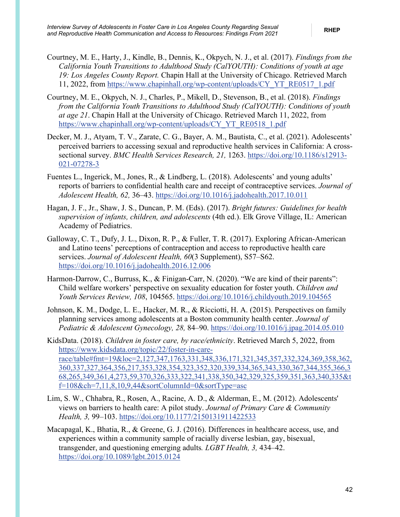- Courtney, M. E., Harty, J., Kindle, B., Dennis, K., Okpych, N. J., et al. (2017). *Findings from the California Youth Transitions to Adulthood Study (CalYOUTH): Conditions of youth at age 19: Los Angeles County Report.* Chapin Hall at the University of Chicago. Retrieved March 11, 2022, from [https://www.chapinhall.org/wp-content/uploads/CY\\_YT\\_RE0517\\_1.pdf](https://www.chapinhall.org/wp-content/uploads/CY_YT_RE0517_1.pdf)
- Courtney, M. E., Okpych, N. J., Charles, P., Mikell, D., Stevenson, B., et al. (2018). *Findings from the California Youth Transitions to Adulthood Study (CalYOUTH): Conditions of youth at age 21*. Chapin Hall at the University of Chicago. Retrieved March 11, 2022, from [https://www.chapinhall.org/wp-content/uploads/CY\\_YT\\_RE0518\\_1.pdf](https://www.chapinhall.org/wp-content/uploads/CY_YT_RE0518_1.pdf)
- Decker, M. J., Atyam, T. V., Zarate, C. G., Bayer, A. M., Bautista, C., et al. (2021). Adolescents' perceived barriers to accessing sexual and reproductive health services in California: A crosssectional survey. *BMC Health Services Research, 21,* 1263. [https://doi.org/10.1186/s12913-](https://doi.org/10.1186/s12913-021-07278-3) [021-07278-3](https://doi.org/10.1186/s12913-021-07278-3)
- Fuentes L., Ingerick, M., Jones, R., & Lindberg, L. (2018). Adolescents' and young adults' reports of barriers to confidential health care and receipt of contraceptive services. *Journal of Adolescent Health, 62,* 36–43.<https://doi.org/10.1016/j.jadohealth.2017.10.011>
- Hagan, J. F., Jr., Shaw, J. S., Duncan, P. M. (Eds). (2017). *Bright futures: Guidelines for health supervision of infants, children, and adolescents* (4th ed.). Elk Grove Village, IL: American Academy of Pediatrics.
- Galloway, C. T., Dufy, J. L., Dixon, R. P., & Fuller, T. R. (2017). Exploring African-American and Latino teens' perceptions of contraception and access to reproductive health care services. *Journal of Adolescent Health, 60*(3 Supplement), S57–S62. <https://doi.org/10.1016/j.jadohealth.2016.12.006>
- Harmon-Darrow, C., Burruss, K., & Finigan-Carr, N. (2020). "We are kind of their parents": Child welfare workers' perspective on sexuality education for foster youth. *Children and Youth Services Review, 108*, 104565.<https://doi.org/10.1016/j.childyouth.2019.104565>
- Johnson, K. M., Dodge, L. E., Hacker, M. R., & Ricciotti, H. A. (2015). Perspectives on family planning services among adolescents at a Boston community health center. *Journal of Pediatric & Adolescent Gynecology, 28,* 84–90.<https://doi.org/10.1016/j.jpag.2014.05.010>
- KidsData. (2018). *Children in foster care, by race/ethnicity*[. Retrieved March 5, 2022, from](https://www.kidsdata.org/topic/22/foster-in-care-race/table#fmt=19&loc=2,127,347,1763,331,348,336,171,321,345,357,332,324,369,358,362,360,337,327,364,356,217,353,328,354,323,352,320,339,334,365,343,330,367,344,355,366,368,265,349,361,4,273,59,370,326,333,322,341,338,350,342,329,325,359,351,363,340,335&tf=108&ch=7,11,8,10,9,44&sortColumnId=0&sortType=asc)  [https://www.kidsdata.org/topic/22/foster-in-care](https://www.kidsdata.org/topic/22/foster-in-care-race/table#fmt=19&loc=2,127,347,1763,331,348,336,171,321,345,357,332,324,369,358,362,360,337,327,364,356,217,353,328,354,323,352,320,339,334,365,343,330,367,344,355,366,368,265,349,361,4,273,59,370,326,333,322,341,338,350,342,329,325,359,351,363,340,335&tf=108&ch=7,11,8,10,9,44&sortColumnId=0&sortType=asc)[race/table#fmt=19&loc=2,127,347,1763,331,348,336,171,321,345,357,332,324,369,358,362,](https://www.kidsdata.org/topic/22/foster-in-care-race/table#fmt=19&loc=2,127,347,1763,331,348,336,171,321,345,357,332,324,369,358,362,360,337,327,364,356,217,353,328,354,323,352,320,339,334,365,343,330,367,344,355,366,368,265,349,361,4,273,59,370,326,333,322,341,338,350,342,329,325,359,351,363,340,335&tf=108&ch=7,11,8,10,9,44&sortColumnId=0&sortType=asc) [360,337,327,364,356,217,353,328,354,323,352,320,339,334,365,343,330,367,344,355,366,3](https://www.kidsdata.org/topic/22/foster-in-care-race/table#fmt=19&loc=2,127,347,1763,331,348,336,171,321,345,357,332,324,369,358,362,360,337,327,364,356,217,353,328,354,323,352,320,339,334,365,343,330,367,344,355,366,368,265,349,361,4,273,59,370,326,333,322,341,338,350,342,329,325,359,351,363,340,335&tf=108&ch=7,11,8,10,9,44&sortColumnId=0&sortType=asc) [68,265,349,361,4,273,59,370,326,333,322,341,338,350,342,329,325,359,351,363,340,335&t](https://www.kidsdata.org/topic/22/foster-in-care-race/table#fmt=19&loc=2,127,347,1763,331,348,336,171,321,345,357,332,324,369,358,362,360,337,327,364,356,217,353,328,354,323,352,320,339,334,365,343,330,367,344,355,366,368,265,349,361,4,273,59,370,326,333,322,341,338,350,342,329,325,359,351,363,340,335&tf=108&ch=7,11,8,10,9,44&sortColumnId=0&sortType=asc)  $f=108\&ch=7,11,8,10,9,44\&sortColumnId=0\&sortType=asc$
- Lim, S. W., Chhabra, R., Rosen, A., Racine, A. D., & Alderman, E., M. (2012). Adolescents' views on barriers to health care: A pilot study. *Journal of Primary Care & Community Health, 3,* 99–103.<https://doi.org/10.1177/2150131911422533>
- Macapagal, K., Bhatia, R., & Greene, G. J. (2016). Differences in healthcare access, use, and experiences within a community sample of racially diverse lesbian, gay, bisexual, transgender, and questioning emerging adults*. LGBT Health, 3,* 434–42. <https://doi.org/10.1089/lgbt.2015.0124>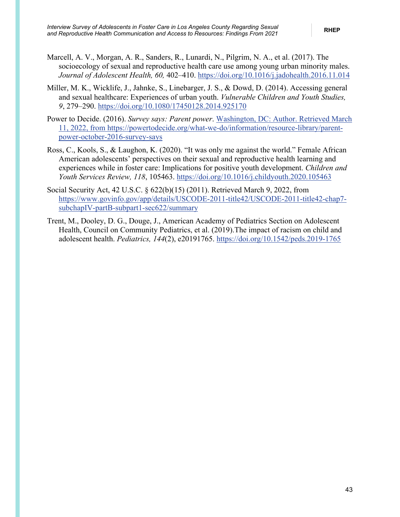- Marcell, A. V., Morgan, A. R., Sanders, R., Lunardi, N., Pilgrim, N. A., et al. (2017). The socioecology of sexual and reproductive health care use among young urban minority males. *Journal of Adolescent Health, 60,* 402–410.<https://doi.org/10.1016/j.jadohealth.2016.11.014>
- Miller, M. K., Wicklife, J., Jahnke, S., Linebarger, J. S., & Dowd, D. (2014). Accessing general and sexual healthcare: Experiences of urban youth. *Vulnerable Children and Youth Studies, 9*, 279–290.<https://doi.org/10.1080/17450128.2014.925170>
- Power to Decide. (2016). *Survey says: Parent power*. Washington, DC: Author. Retrieved March 11, 2022, from [https://powertodecide.org/what-we-do/information/resource-library/parent](https://powertodecide.org/what-we-do/information/resource-library/parent-power-october-2016-survey-says)[power-october-2016-survey-says](https://powertodecide.org/what-we-do/information/resource-library/parent-power-october-2016-survey-says)
- Ross, C., Kools, S., & Laughon, K. (2020). "It was only me against the world." Female African American adolescents' perspectives on their sexual and reproductive health learning and experiences while in foster care: Implications for positive youth development. *Children and Youth Services Review, 118*, 105463.<https://doi.org/10.1016/j.childyouth.2020.105463>
- Social Security Act, 42 U.S.C. § 622(b)(15) (2011). Retrieved March 9, 2022, from [https://www.govinfo.gov/app/details/USCODE-2011-title42/USCODE-2011-title42-chap7](https://www.govinfo.gov/app/details/USCODE-2011-title42/USCODE-2011-title42-chap7-subchapIV-partB-subpart1-sec622/summary) [subchapIV-partB-subpart1-sec622/summary](https://www.govinfo.gov/app/details/USCODE-2011-title42/USCODE-2011-title42-chap7-subchapIV-partB-subpart1-sec622/summary)
- Trent, M., Dooley, D. G., Douge, J., American Academy of Pediatrics Section on Adolescent Health, Council on Community Pediatrics, et al. (2019).The impact of racism on child and adolescent health. *Pediatrics, 144*(2), e20191765.<https://doi.org/10.1542/peds.2019-1765>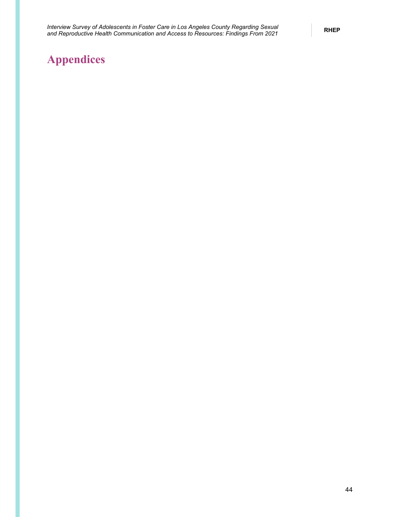# <span id="page-49-0"></span>**Appendices**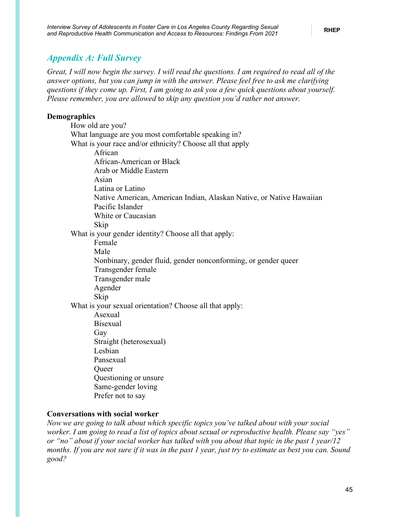### <span id="page-50-0"></span>*Appendix A: Full Survey*

*Great, I will now begin the survey. I will read the questions. I am required to read all of the answer options, but you can jump in with the answer. Please feel free to ask me clarifying questions if they come up. First, I am going to ask you a few quick questions about yourself. Please remember, you are allowed* to *skip any question you'd rather not answer.*

### **Demographics**

| -гаршсэ                                                              |
|----------------------------------------------------------------------|
| How old are you?                                                     |
| What language are you most comfortable speaking in?                  |
| What is your race and/or ethnicity? Choose all that apply            |
| African                                                              |
| African-American or Black                                            |
| Arab or Middle Eastern                                               |
| Asian                                                                |
| Latina or Latino                                                     |
| Native American, American Indian, Alaskan Native, or Native Hawaiian |
| Pacific Islander                                                     |
| White or Caucasian                                                   |
| Skip                                                                 |
| What is your gender identity? Choose all that apply:                 |
| Female                                                               |
| Male                                                                 |
| Nonbinary, gender fluid, gender nonconforming, or gender queer       |
| Transgender female                                                   |
| Transgender male                                                     |
| Agender                                                              |
| Skip                                                                 |
| What is your sexual orientation? Choose all that apply:              |
| Asexual                                                              |
| <b>Bisexual</b>                                                      |
| Gay                                                                  |
| Straight (heterosexual)                                              |
| Lesbian                                                              |
| Pansexual                                                            |
| Queer                                                                |
| Questioning or unsure                                                |
| Same-gender loving                                                   |
| Prefer not to say                                                    |
|                                                                      |

### **Conversations with social worker**

*Now we are going to talk about which specific topics you've talked about with your social worker. I am going to read a list of topics about sexual or reproductive health. Please say "yes" or "no" about if your social worker has talked with you about that topic in the past 1 year/12 months. If you are not sure if it was in the past 1 year, just try to estimate as best you can. Sound good?*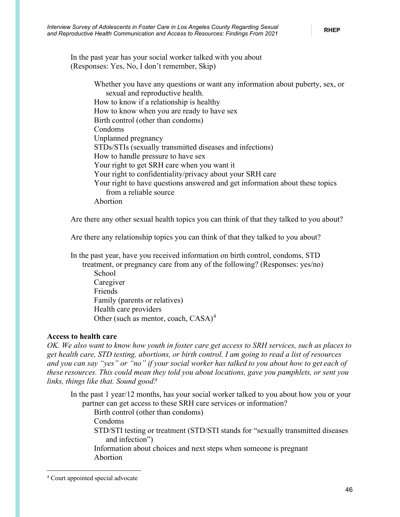In the past year has your social worker talked with you about (Responses: Yes, No, I don't remember, Skip)

> Whether you have any questions or want any information about puberty, sex, or sexual and reproductive health. How to know if a relationship is healthy How to know when you are ready to have sex Birth control (other than condoms) Condoms Unplanned pregnancy STDs/STIs (sexually transmitted diseases and infections) How to handle pressure to have sex Your right to get SRH care when you want it Your right to confidentiality/privacy about your SRH care Your right to have questions answered and get information about these topics from a reliable source Abortion

Are there any other sexual health topics you can think of that they talked to you about?

Are there any relationship topics you can think of that they talked to you about?

In the past year, have you received information on birth control, condoms, STD treatment, or pregnancy care from any of the following? (Responses: yes/no) **School** Caregiver Friends Family (parents or relatives) Health care providers Other (such as mentor, coach, CASA)<sup>[4](#page-51-0)</sup>

#### **Access to health care**

*OK. We also want to know how youth in foster care get access to SRH services, such as places to get health care, STD testing, abortions, or birth control. I am going to read a list of resources and you can say "yes" or "no" if your social worker has talked to you about how to get each of these resources. This could mean they told you about locations, gave you pamphlets, or sent you links, things like that. Sound good?*

In the past 1 year/12 months, has your social worker talked to you about how you or your partner can get access to these SRH care services or information? 

Birth control (other than condoms)

Condoms

STD/STI testing or treatment (STD/STI stands for "sexually transmitted diseases and infection")

Information about choices and next steps when someone is pregnant Abortion

<span id="page-51-0"></span><sup>4</sup> Court appointed special advocate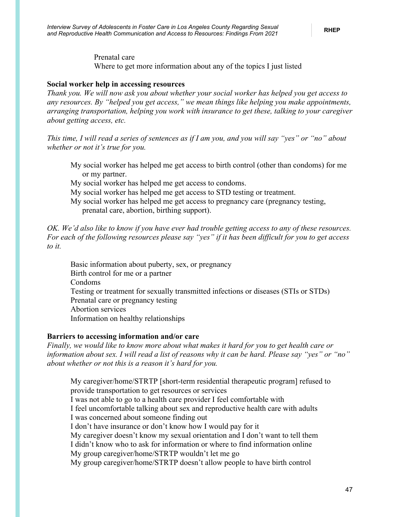Prenatal care Where to get more information about any of the topics I just listed

#### **Social worker help in accessing resources**

*Thank you. We will now ask you about whether your social worker has helped you get access to any resources. By "helped you get access," we mean things like helping you make appointments, arranging transportation, helping you work with insurance to get these, talking to your caregiver about getting access, etc.*

*This time, I will read a series of sentences as if I am you, and you will say "yes" or "no" about whether or not it's true for you.*

- My social worker has helped me get access to birth control (other than condoms) for me or my partner.
- My social worker has helped me get access to condoms.
- My social worker has helped me get access to STD testing or treatment.
- My social worker has helped me get access to pregnancy care (pregnancy testing, prenatal care, abortion, birthing support).

*OK. We'd also like to know if you have ever had trouble getting access to any of these resources. For each of the following resources please say "yes" if it has been difficult for you to get access to it.*

Basic information about puberty, sex, or pregnancy Birth control for me or a partner Condoms Testing or treatment for sexually transmitted infections or diseases (STIs or STDs) Prenatal care or pregnancy testing Abortion services Information on healthy relationships

#### **Barriers to accessing information and/or care**

*Finally, we would like to know more about what makes it hard for you to get health care or information about sex. I will read a list of reasons why it can be hard. Please say "yes" or "no" about whether or not this is a reason it's hard for you.* 

My caregiver/home/STRTP [short-term residential therapeutic program] refused to provide transportation to get resources or services I was not able to go to a health care provider I feel comfortable with I feel uncomfortable talking about sex and reproductive health care with adults I was concerned about someone finding out I don't have insurance or don't know how I would pay for it My caregiver doesn't know my sexual orientation and I don't want to tell them I didn't know who to ask for information or where to find information online My group caregiver/home/STRTP wouldn't let me go My group caregiver/home/STRTP doesn't allow people to have birth control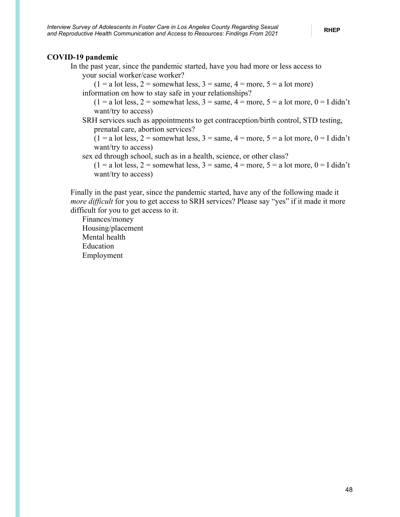### **COVID-19 pandemic**

In the past year, since the pandemic started, have you had more or less access to your social worker/case worker?

 $(1 = a lot less, 2 = somewhat less, 3 = same, 4 = more, 5 = a lot more)$ 

information on how to stay safe in your relationships?

 $(1 = a lot less, 2 = somewhat less, 3 = same, 4 = more, 5 = a lot more, 0 = I didn't$ want/try to access)

SRH services such as appointments to get contraception/birth control, STD testing, prenatal care, abortion services?

 $(1 = a lot less, 2 = somewhat less, 3 = same, 4 = more, 5 = a lot more, 0 = I didn't$ want/try to access)

sex ed through school, such as in a health, science, or other class?

 $(1 = a)$  lot less,  $2 =$  somewhat less,  $3 =$  same,  $4 =$  more,  $5 = a$  lot more,  $0 =$  I didn't want/try to access)

Finally in the past year, since the pandemic started, have any of the following made it *more difficult* for you to get access to SRH services? Please say "yes" if it made it more difficult for you to get access to it.

Finances/money Housing/placement Mental health Education Employment